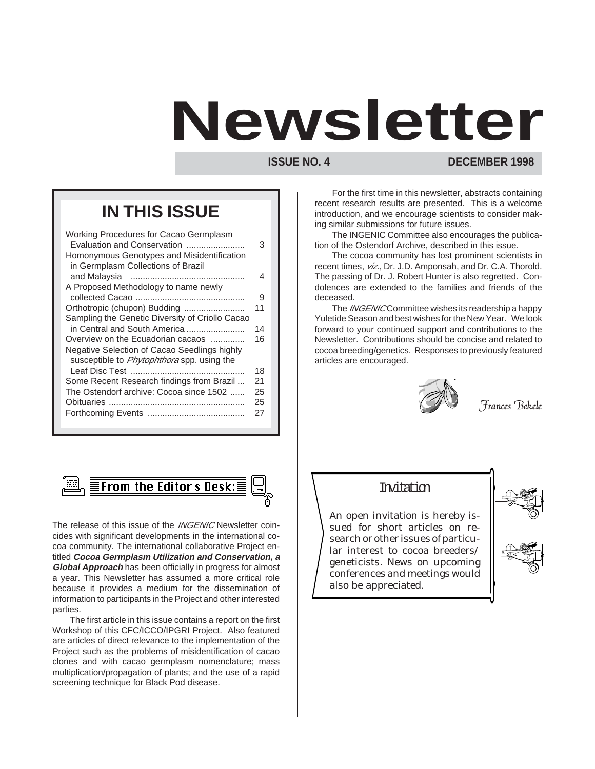# **Newsletter**

**ISSUE NO. 4** DECEMBER 1998

## **IN THIS ISSUE**

| Working Procedures for Cacao Germplasm            |    |
|---------------------------------------------------|----|
| Evaluation and Conservation                       | 3  |
| Homonymous Genotypes and Misidentification        |    |
| in Germplasm Collections of Brazil                |    |
|                                                   | 4  |
| A Proposed Methodology to name newly              |    |
|                                                   | 9  |
| Orthotropic (chupon) Budding                      | 11 |
| Sampling the Genetic Diversity of Criollo Cacao   |    |
| in Central and South America                      | 14 |
| Overview on the Ecuadorian cacaos                 | 16 |
| Negative Selection of Cacao Seedlings highly      |    |
| susceptible to <i>Phytophthora</i> spp. using the |    |
|                                                   | 18 |
| Some Recent Research findings from Brazil         | 21 |
| The Ostendorf archive: Cocoa since 1502           | 25 |
|                                                   | 25 |
|                                                   | 27 |
|                                                   |    |
|                                                   |    |



The release of this issue of the *INGENIC* Newsletter coincides with significant developments in the international cocoa community. The international collaborative Project entitled **Cocoa Germplasm Utilization and Conservation, a Global Approach** has been officially in progress for almost a year. This Newsletter has assumed a more critical role because it provides a medium for the dissemination of information to participants in the Project and other interested parties.

The first article in this issue contains a report on the first Workshop of this CFC/ICCO/IPGRI Project. Also featured are articles of direct relevance to the implementation of the Project such as the problems of misidentification of cacao clones and with cacao germplasm nomenclature; mass multiplication/propagation of plants; and the use of a rapid screening technique for Black Pod disease.

For the first time in this newsletter, abstracts containing recent research results are presented. This is a welcome introduction, and we encourage scientists to consider making similar submissions for future issues.

The INGENIC Committee also encourages the publication of the Ostendorf Archive, described in this issue.

The cocoa community has lost prominent scientists in recent times,  $viz$ , Dr. J.D. Amponsah, and Dr. C.A. Thorold. The passing of Dr. J. Robert Hunter is also regretted. Condolences are extended to the families and friends of the deceased.

The *INGENIC* Committee wishes its readership a happy Yuletide Season and best wishes for the New Year. We look forward to your continued support and contributions to the Newsletter. Contributions should be concise and related to cocoa breeding/genetics. Responses to previously featured articles are encouraged.



Frances Bekele

## Invitation

An open invitation is hereby issued for short articles on research or other issues of particular interest to cocoa breeders/ geneticists. News on upcoming conferences and meetings would also be appreciated.



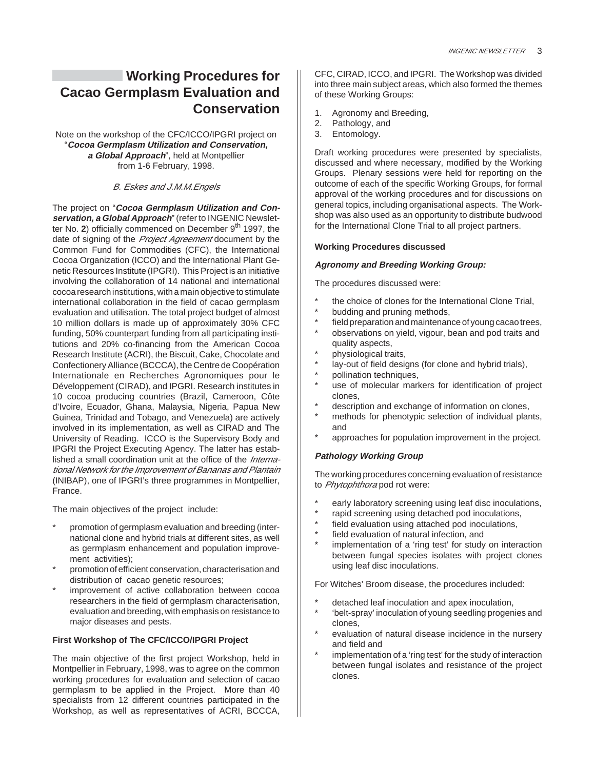## **Working Procedures for Cacao Germplasm Evaluation and Conservation**

Note on the workshop of the CFC/ICCO/IPGRI project on "**Cocoa Germplasm Utilization and Conservation, a Global Approach**", held at Montpellier from 1-6 February, 1998.

#### B. Eskes and J.M.M.Engels

The project on "**Cocoa Germplasm Utilization and Conservation, a Global Approach**" (refer to INGENIC Newsletter No. 2) officially commenced on December 9<sup>th</sup> 1997, the date of signing of the Project Agreement document by the Common Fund for Commodities (CFC), the International Cocoa Organization (ICCO) and the International Plant Genetic Resources Institute (IPGRI). This Project is an initiative involving the collaboration of 14 national and international cocoa research institutions, with a main objective to stimulate international collaboration in the field of cacao germplasm evaluation and utilisation. The total project budget of almost 10 million dollars is made up of approximately 30% CFC funding, 50% counterpart funding from all participating institutions and 20% co-financing from the American Cocoa Research Institute (ACRI), the Biscuit, Cake, Chocolate and Confectionery Alliance (BCCCA), the Centre de Coopération Internationale en Recherches Agronomiques pour le Développement (CIRAD), and IPGRI. Research institutes in 10 cocoa producing countries (Brazil, Cameroon, Côte d'Ivoire, Ecuador, Ghana, Malaysia, Nigeria, Papua New Guinea, Trinidad and Tobago, and Venezuela) are actively involved in its implementation, as well as CIRAD and The University of Reading. ICCO is the Supervisory Body and IPGRI the Project Executing Agency. The latter has established a small coordination unit at the office of the *Interna*tional Network for the Improvement of Bananas and Plantain (INIBAP), one of IPGRI's three programmes in Montpellier, France.

The main objectives of the project include:

- promotion of germplasm evaluation and breeding (international clone and hybrid trials at different sites, as well as germplasm enhancement and population improvement activities);
- promotion of efficient conservation, characterisation and distribution of cacao genetic resources;
- improvement of active collaboration between cocoa researchers in the field of germplasm characterisation, evaluation and breeding, with emphasis on resistance to major diseases and pests.

#### **First Workshop of The CFC/ICCO/IPGRI Project**

The main objective of the first project Workshop, held in Montpellier in February, 1998, was to agree on the common working procedures for evaluation and selection of cacao germplasm to be applied in the Project. More than 40 specialists from 12 different countries participated in the Workshop, as well as representatives of ACRI, BCCCA,

CFC, CIRAD, ICCO, and IPGRI. The Workshop was divided into three main subject areas, which also formed the themes of these Working Groups:

- 1. Agronomy and Breeding,
- 2. Pathology, and
- 3. Entomology.

Draft working procedures were presented by specialists, discussed and where necessary, modified by the Working Groups. Plenary sessions were held for reporting on the outcome of each of the specific Working Groups, for formal approval of the working procedures and for discussions on general topics, including organisational aspects. The Workshop was also used as an opportunity to distribute budwood for the International Clone Trial to all project partners.

#### **Working Procedures discussed**

#### **Agronomy and Breeding Working Group:**

The procedures discussed were:

- the choice of clones for the International Clone Trial,
- budding and pruning methods,
- field preparation and maintenance of young cacao trees, observations on yield, vigour, bean and pod traits and
- quality aspects,
- physiological traits,
- lay-out of field designs (for clone and hybrid trials),
- pollination techniques,
- use of molecular markers for identification of project clones,
- description and exchange of information on clones,
- methods for phenotypic selection of individual plants, and
- approaches for population improvement in the project.

#### **Pathology Working Group**

The working procedures concerning evaluation of resistance to Phytophthora pod rot were:

- early laboratory screening using leaf disc inoculations,
- rapid screening using detached pod inoculations,
- field evaluation using attached pod inoculations,
- field evaluation of natural infection, and
- implementation of a 'ring test' for study on interaction between fungal species isolates with project clones using leaf disc inoculations.

For Witches' Broom disease, the procedures included:

- detached leaf inoculation and apex inoculation,
- \* 'belt-spray' inoculation of young seedling progenies and clones,
- evaluation of natural disease incidence in the nursery and field and
- implementation of a 'ring test' for the study of interaction between fungal isolates and resistance of the project clones.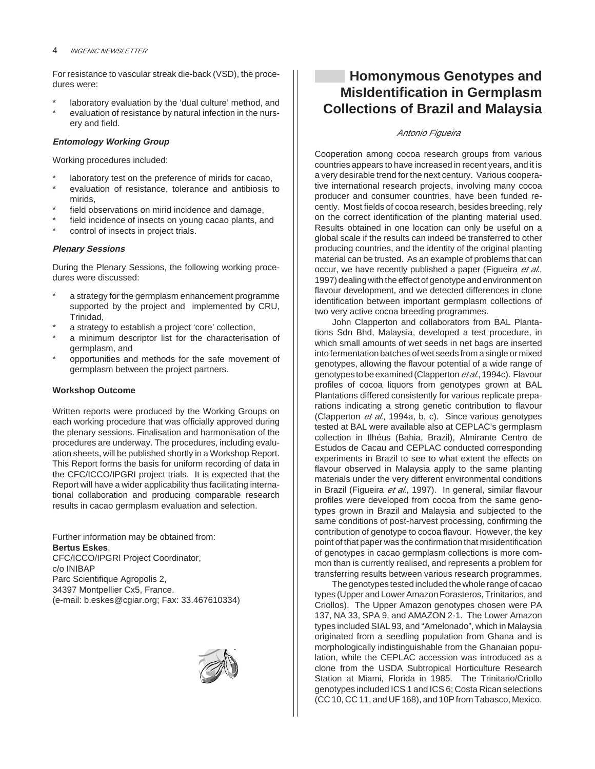For resistance to vascular streak die-back (VSD), the procedures were:

laboratory evaluation by the 'dual culture' method, and evaluation of resistance by natural infection in the nursery and field.

#### **Entomology Working Group**

Working procedures included:

- laboratory test on the preference of mirids for cacao,
- evaluation of resistance, tolerance and antibiosis to mirids,
- field observations on mirid incidence and damage,
- field incidence of insects on young cacao plants, and
- control of insects in project trials.

#### **Plenary Sessions**

During the Plenary Sessions, the following working procedures were discussed:

- a strategy for the germplasm enhancement programme supported by the project and implemented by CRU, Trinidad,
- a strategy to establish a project 'core' collection,
- a minimum descriptor list for the characterisation of germplasm, and
- opportunities and methods for the safe movement of germplasm between the project partners.

#### **Workshop Outcome**

Written reports were produced by the Working Groups on each working procedure that was officially approved during the plenary sessions. Finalisation and harmonisation of the procedures are underway. The procedures, including evaluation sheets, will be published shortly in a Workshop Report. This Report forms the basis for uniform recording of data in the CFC/ICCO/IPGRI project trials. It is expected that the Report will have a wider applicability thus facilitating international collaboration and producing comparable research results in cacao germplasm evaluation and selection.

Further information may be obtained from: **Bertus Eskes**, CFC/ICCO/IPGRI Project Coordinator, c/o INIBAP Parc Scientifique Agropolis 2, 34397 Montpellier Cx5, France. (e-mail: b.eskes@cgiar.org; Fax: 33.467610334)



## **Homonymous Genotypes and MisIdentification in Germplasm Collections of Brazil and Malaysia**

#### Antonio Figueira

Cooperation among cocoa research groups from various countries appears to have increased in recent years, and it is a very desirable trend for the next century. Various cooperative international research projects, involving many cocoa producer and consumer countries, have been funded recently. Most fields of cocoa research, besides breeding, rely on the correct identification of the planting material used. Results obtained in one location can only be useful on a global scale if the results can indeed be transferred to other producing countries, and the identity of the original planting material can be trusted. As an example of problems that can occur, we have recently published a paper (Figueira et al., 1997) dealing with the effect of genotype and environment on flavour development, and we detected differences in clone identification between important germplasm collections of two very active cocoa breeding programmes.

John Clapperton and collaborators from BAL Plantations Sdn Bhd, Malaysia, developed a test procedure, in which small amounts of wet seeds in net bags are inserted into fermentation batches of wet seeds from a single or mixed genotypes, allowing the flavour potential of a wide range of genotypes to be examined (Clapperton et al., 1994c). Flavour profiles of cocoa liquors from genotypes grown at BAL Plantations differed consistently for various replicate preparations indicating a strong genetic contribution to flavour (Clapperton et al., 1994a, b, c). Since various genotypes tested at BAL were available also at CEPLAC's germplasm collection in Ilhéus (Bahia, Brazil), Almirante Centro de Estudos de Cacau and CEPLAC conducted corresponding experiments in Brazil to see to what extent the effects on flavour observed in Malaysia apply to the same planting materials under the very different environmental conditions in Brazil (Figueira et al., 1997). In general, similar flavour profiles were developed from cocoa from the same genotypes grown in Brazil and Malaysia and subjected to the same conditions of post-harvest processing, confirming the contribution of genotype to cocoa flavour. However, the key point of that paper was the confirmation that misidentification of genotypes in cacao germplasm collections is more common than is currently realised, and represents a problem for transferring results between various research programmes.

The genotypes tested included the whole range of cacao types (Upper and Lower Amazon Forasteros, Trinitarios, and Criollos). The Upper Amazon genotypes chosen were PA 137, NA 33, SPA 9, and AMAZON 2-1. The Lower Amazon types included SIAL 93, and "Amelonado", which in Malaysia originated from a seedling population from Ghana and is morphologically indistinguishable from the Ghanaian population, while the CEPLAC accession was introduced as a clone from the USDA Subtropical Horticulture Research Station at Miami, Florida in 1985. The Trinitario/Criollo genotypes included ICS 1 and ICS 6; Costa Rican selections (CC 10, CC 11, and UF 168), and 10P from Tabasco, Mexico.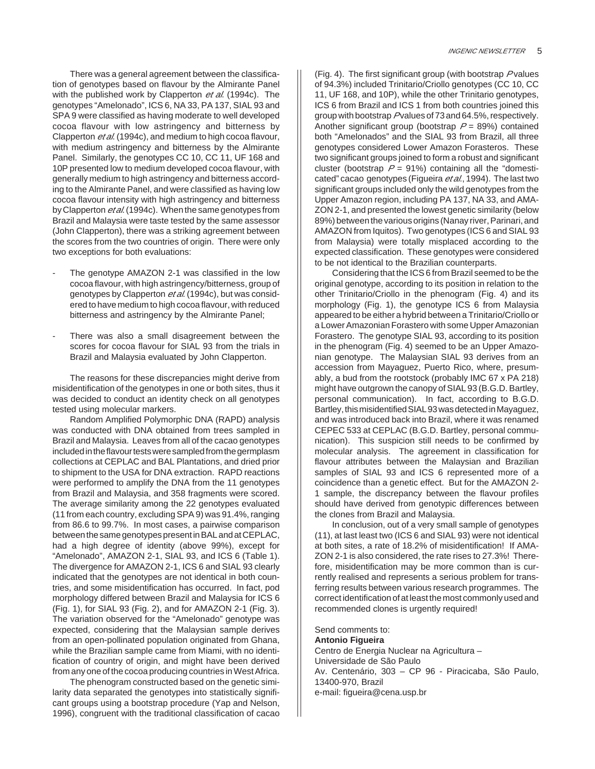There was a general agreement between the classification of genotypes based on flavour by the Almirante Panel with the published work by Clapperton et al. (1994c). The genotypes "Amelonado", ICS 6, NA 33, PA 137, SIAL 93 and SPA 9 were classified as having moderate to well developed cocoa flavour with low astringency and bitterness by Clapperton et al. (1994c), and medium to high cocoa flavour, with medium astringency and bitterness by the Almirante Panel. Similarly, the genotypes CC 10, CC 11, UF 168 and 10P presented low to medium developed cocoa flavour, with generally medium to high astringency and bitterness according to the Almirante Panel, and were classified as having low cocoa flavour intensity with high astringency and bitterness by Clapperton *et al.* (1994c). When the same genotypes from Brazil and Malaysia were taste tested by the same assessor (John Clapperton), there was a striking agreement between the scores from the two countries of origin. There were only two exceptions for both evaluations:

- The genotype AMAZON 2-1 was classified in the low cocoa flavour, with high astringency/bitterness, group of genotypes by Clapperton et al. (1994c), but was considered to have medium to high cocoa flavour, with reduced bitterness and astringency by the Almirante Panel;
- There was also a small disagreement between the scores for cocoa flavour for SIAL 93 from the trials in Brazil and Malaysia evaluated by John Clapperton.

The reasons for these discrepancies might derive from misidentification of the genotypes in one or both sites, thus it was decided to conduct an identity check on all genotypes tested using molecular markers.

Random Amplified Polymorphic DNA (RAPD) analysis was conducted with DNA obtained from trees sampled in Brazil and Malaysia. Leaves from all of the cacao genotypes included in the flavour tests were sampled from the germplasm collections at CEPLAC and BAL Plantations, and dried prior to shipment to the USA for DNA extraction. RAPD reactions were performed to amplify the DNA from the 11 genotypes from Brazil and Malaysia, and 358 fragments were scored. The average similarity among the 22 genotypes evaluated (11 from each country, excluding SPA 9) was 91.4%, ranging from 86.6 to 99.7%. In most cases, a pairwise comparison between the same genotypes present in BAL and at CEPLAC, had a high degree of identity (above 99%), except for "Amelonado", AMAZON 2-1, SIAL 93, and ICS 6 (Table 1). The divergence for AMAZON 2-1, ICS 6 and SIAL 93 clearly indicated that the genotypes are not identical in both countries, and some misidentification has occurred. In fact, pod morphology differed between Brazil and Malaysia for ICS 6 (Fig. 1), for SIAL 93 (Fig. 2), and for AMAZON 2-1 (Fig. 3). The variation observed for the "Amelonado" genotype was expected, considering that the Malaysian sample derives from an open-pollinated population originated from Ghana, while the Brazilian sample came from Miami, with no identification of country of origin, and might have been derived from any one of the cocoa producing countries in West Africa.

The phenogram constructed based on the genetic similarity data separated the genotypes into statistically significant groups using a bootstrap procedure (Yap and Nelson, 1996), congruent with the traditional classification of cacao

(Fig. 4). The first significant group (with bootstrap  $P$  values of 94.3%) included Trinitario/Criollo genotypes (CC 10, CC 11, UF 168, and 10P), while the other Trinitario genotypes, ICS 6 from Brazil and ICS 1 from both countries joined this group with bootstrap Pvalues of 73 and 64.5%, respectively. Another significant group (bootstrap  $P = 89\%$ ) contained both "Amelonados" and the SIAL 93 from Brazil, all three genotypes considered Lower Amazon Forasteros. These two significant groups joined to form a robust and significant cluster (bootstrap  $P = 91\%$ ) containing all the "domesticated" cacao genotypes (Figueira et al., 1994). The last two significant groups included only the wild genotypes from the Upper Amazon region, including PA 137, NA 33, and AMA-ZON 2-1, and presented the lowest genetic similarity (below 89%) between the various origins (Nanay river, Parinari, and AMAZON from Iquitos). Two genotypes (ICS 6 and SIAL 93 from Malaysia) were totally misplaced according to the expected classification. These genotypes were considered to be not identical to the Brazilian counterparts.

Considering that the ICS 6 from Brazil seemed to be the original genotype, according to its position in relation to the other Trinitario/Criollo in the phenogram (Fig. 4) and its morphology (Fig. 1), the genotype ICS 6 from Malaysia appeared to be either a hybrid between a Trinitario/Criollo or a Lower Amazonian Forastero with some Upper Amazonian Forastero. The genotype SIAL 93, according to its position in the phenogram (Fig. 4) seemed to be an Upper Amazonian genotype. The Malaysian SIAL 93 derives from an accession from Mayaguez, Puerto Rico, where, presumably, a bud from the rootstock (probably IMC 67 x PA 218) might have outgrown the canopy of SIAL 93 (B.G.D. Bartley, personal communication). In fact, according to B.G.D. Bartley, this misidentified SIAL 93 was detected in Mayaguez, and was introduced back into Brazil, where it was renamed CEPEC 533 at CEPLAC (B.G.D. Bartley, personal communication). This suspicion still needs to be confirmed by molecular analysis. The agreement in classification for flavour attributes between the Malaysian and Brazilian samples of SIAL 93 and ICS 6 represented more of a coincidence than a genetic effect. But for the AMAZON 2- 1 sample, the discrepancy between the flavour profiles should have derived from genotypic differences between the clones from Brazil and Malaysia.

In conclusion, out of a very small sample of genotypes (11), at last least two (ICS 6 and SIAL 93) were not identical at both sites, a rate of 18.2% of misidentification! If AMA-ZON 2-1 is also considered, the rate rises to 27.3%! Therefore, misidentification may be more common than is currently realised and represents a serious problem for transferring results between various research programmes. The correct identification of at least the most commonly used and recommended clones is urgently required!

Send comments to: **Antonio Figueira** Centro de Energia Nuclear na Agricultura – Universidade de São Paulo Av. Centenário, 303 – CP 96 - Piracicaba, São Paulo, 13400-970, Brazil e-mail: figueira@cena.usp.br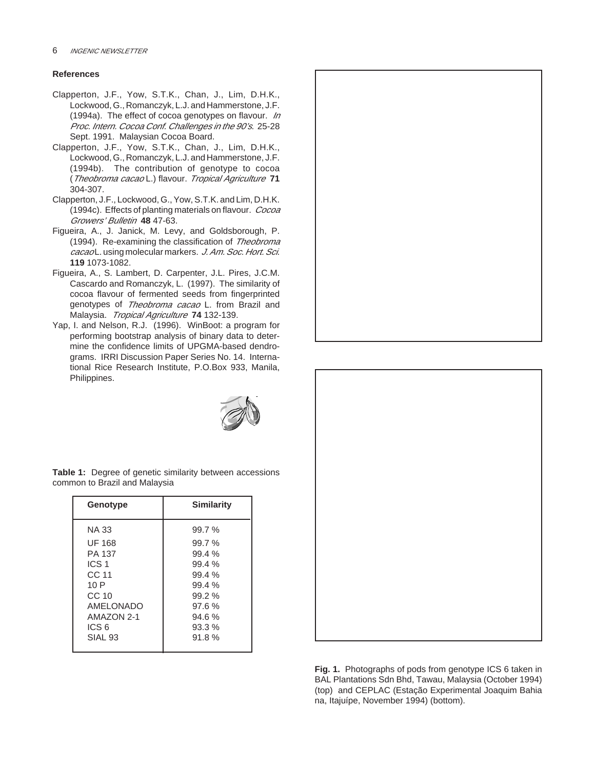#### **References**

- Clapperton, J.F., Yow, S.T.K., Chan, J., Lim, D.H.K., Lockwood, G., Romanczyk, L.J. and Hammerstone, J.F. (1994a). The effect of cocoa genotypes on flavour. In Proc. Intern. Cocoa Conf. Challenges in the 90's. 25-28 Sept. 1991. Malaysian Cocoa Board.
- Clapperton, J.F., Yow, S.T.K., Chan, J., Lim, D.H.K., Lockwood, G., Romanczyk, L.J. and Hammerstone, J.F. (1994b). The contribution of genotype to cocoa (Theobroma cacao L.) flavour. Tropical Agriculture **71** 304-307.
- Clapperton, J.F., Lockwood, G., Yow, S.T.K. and Lim, D.H.K. (1994c). Effects of planting materials on flavour. Cocoa Growers' Bulletin **48** 47-63.
- Figueira, A., J. Janick, M. Levy, and Goldsborough, P. (1994). Re-examining the classification of Theobroma cacao L. using molecular markers. J. Am. Soc. Hort. Sci. **119** 1073-1082.
- Figueira, A., S. Lambert, D. Carpenter, J.L. Pires, J.C.M. Cascardo and Romanczyk, L. (1997). The similarity of cocoa flavour of fermented seeds from fingerprinted genotypes of Theobroma cacao L. from Brazil and Malaysia. Tropical Agriculture **74** 132-139.
- Yap, I. and Nelson, R.J. (1996). WinBoot: a program for performing bootstrap analysis of binary data to determine the confidence limits of UPGMA-based dendrograms. IRRI Discussion Paper Series No. 14. International Rice Research Institute, P.O.Box 933, Manila, Philippines.



**Table 1:** Degree of genetic similarity between accessions common to Brazil and Malaysia

| Genotype         | <b>Similarity</b> |
|------------------|-------------------|
| NA 33            | 99.7%             |
| UF 168           | 99.7%             |
| PA 137           | 99.4%             |
| ICS 1            | 99.4%             |
| CC 11            | 99.4%             |
| 10 P             | 99.4%             |
| CC <sub>10</sub> | 99.2%             |
| AMELONADO        | 97.6%             |
| AMAZON 2-1       | 94.6%             |
| ICS 6            | 93.3%             |
| SIAL 93          | 91.8%             |





**Fig. 1.** Photographs of pods from genotype ICS 6 taken in BAL Plantations Sdn Bhd, Tawau, Malaysia (October 1994) (top) and CEPLAC (Estação Experimental Joaquim Bahia na, Itajuípe, November 1994) (bottom).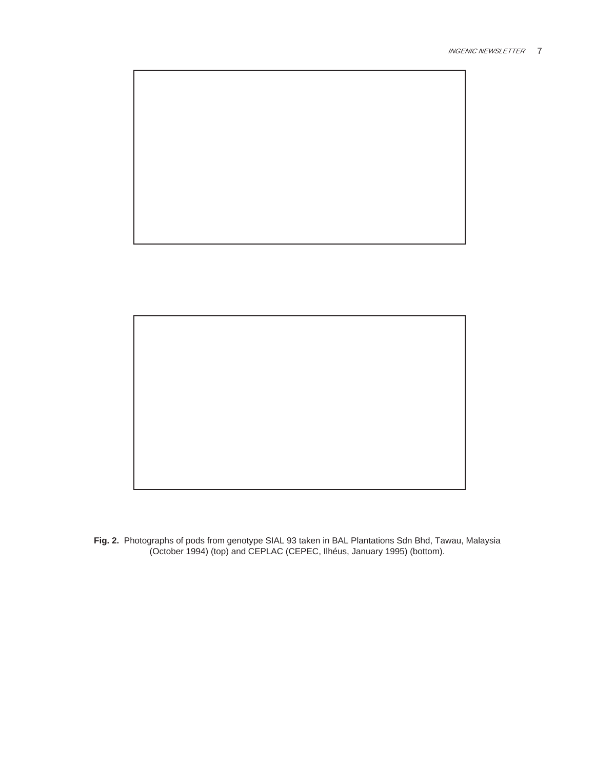



**Fig. 2.** Photographs of pods from genotype SIAL 93 taken in BAL Plantations Sdn Bhd, Tawau, Malaysia (October 1994) (top) and CEPLAC (CEPEC, Ilhéus, January 1995) (bottom).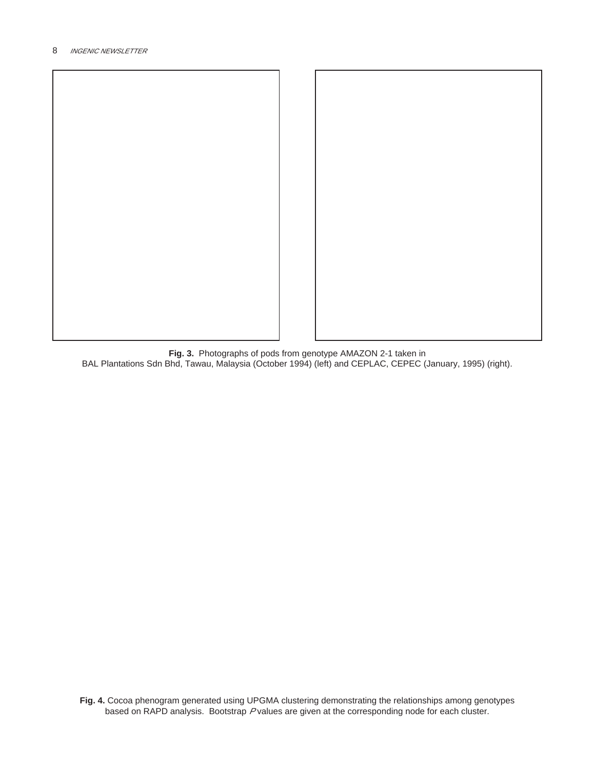

**Fig. 3.** Photographs of pods from genotype AMAZON 2-1 taken in BAL Plantations Sdn Bhd, Tawau, Malaysia (October 1994) (left) and CEPLAC, CEPEC (January, 1995) (right).

**Fig. 4.** Cocoa phenogram generated using UPGMA clustering demonstrating the relationships among genotypes based on RAPD analysis. Bootstrap P values are given at the corresponding node for each cluster.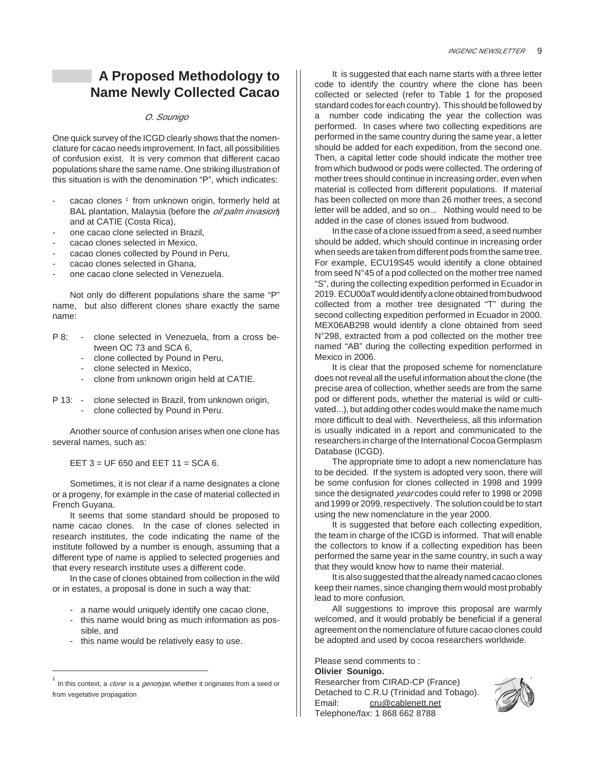## **A Proposed Methodology to Name Newly Collected Cacao**

#### O. Sounigo

One quick survey of the ICGD clearly shows that the nomenclature for cacao needs improvement. In fact, all possibilities of confusion exist. It is very common that different cacao populations share the same name. One striking illustration of this situation is with the denomination "P", which indicates:

- cacao clones <sup>1</sup> from unknown origin, formerly held at BAL plantation, Malaysia (before the *oil palm invasion*) and at CATIE (Costa Rica),
- one cacao clone selected in Brazil.
- cacao clones selected in Mexico,
- cacao clones collected by Pound in Peru,
- cacao clones selected in Ghana.
- one cacao clone selected in Venezuela.

Not only do different populations share the same "P" name, but also different clones share exactly the same name:

- P 8: clone selected in Venezuela, from a cross between OC 73 and SCA 6,
	- clone collected by Pound in Peru,
	- clone selected in Mexico,
	- clone from unknown origin held at CATIE.
- P 13: clone selected in Brazil, from unknown origin, clone collected by Pound in Peru.

Another source of confusion arises when one clone has several names, such as:

EET 3 = UF 650 and EET 11 = SCA 6.

Sometimes, it is not clear if a name designates a clone or a progeny, for example in the case of material collected in French Guyana.

It seems that some standard should be proposed to name cacao clones. In the case of clones selected in research institutes, the code indicating the name of the institute followed by a number is enough, assuming that a different type of name is applied to selected progenies and that every research institute uses a different code.

In the case of clones obtained from collection in the wild or in estates, a proposal is done in such a way that:

- a name would uniquely identify one cacao clone,
- this name would bring as much information as possible, and
- this name would be relatively easy to use.

It is suggested that each name starts with a three letter code to identify the country where the clone has been collected or selected (refer to Table 1 for the proposed standard codes for each country). This should be followed by a number code indicating the year the collection was performed. In cases where two collecting expeditions are performed in the same country during the same year, a letter should be added for each expedition, from the second one. Then, a capital letter code should indicate the mother tree from which budwood or pods were collected. The ordering of mother trees should continue in increasing order, even when material is collected from different populations. If material has been collected on more than 26 mother trees, a second letter will be added, and so on... Nothing would need to be added in the case of clones issued from budwood.

In the case of a clone issued from a seed, a seed number should be added, which should continue in increasing order when seeds are taken from different pods from the same tree. For example, ECU19S45 would identify a clone obtained from seed N°45 of a pod collected on the mother tree named "S", during the collecting expedition performed in Ecuador in 2019. ECU00aT would identify a clone obtained from budwood collected from a mother tree designated "T" during the second collecting expedition performed in Ecuador in 2000. MEX06AB298 would identify a clone obtained from seed N°298, extracted from a pod collected on the mother tree named "AB" during the collecting expedition performed in Mexico in 2006.

It is clear that the proposed scheme for nomenclature does not reveal all the useful information about the clone (the precise area of collection, whether seeds are from the same pod or different pods, whether the material is wild or cultivated...), but adding other codes would make the name much more difficult to deal with. Nevertheless, all this information is usually indicated in a report and communicated to the researchers in charge of the International Cocoa Germplasm Database (ICGD).

The appropriate time to adopt a new nomenclature has to be decided. If the system is adopted very soon, there will be some confusion for clones collected in 1998 and 1999 since the designated *year* codes could refer to 1998 or 2098 and 1999 or 2099, respectively. The solution could be to start using the new nomenclature in the year 2000.

It is suggested that before each collecting expedition, the team in charge of the ICGD is informed. That will enable the collectors to know if a collecting expedition has been performed the same year in the same country, in such a way that they would know how to name their material.

It is also suggested that the already named cacao clones keep their names, since changing them would most probably lead to more confusion.

All suggestions to improve this proposal are warmly welcomed, and it would probably be beneficial if a general agreement on the nomenclature of future cacao clones could be adopted and used by cocoa researchers worldwide.

Please send comments to : **Olivier Sounigo.** Researcher from CIRAD-CP (France) Detached to C.R.U (Trinidad and Tobago). Email: cru@cablenett.net Telephone/fax: 1 868 662 8788



<sup>1</sup> In this context, a *clone* is a *genotype*, whether it originates from a seed or from vegetative propagation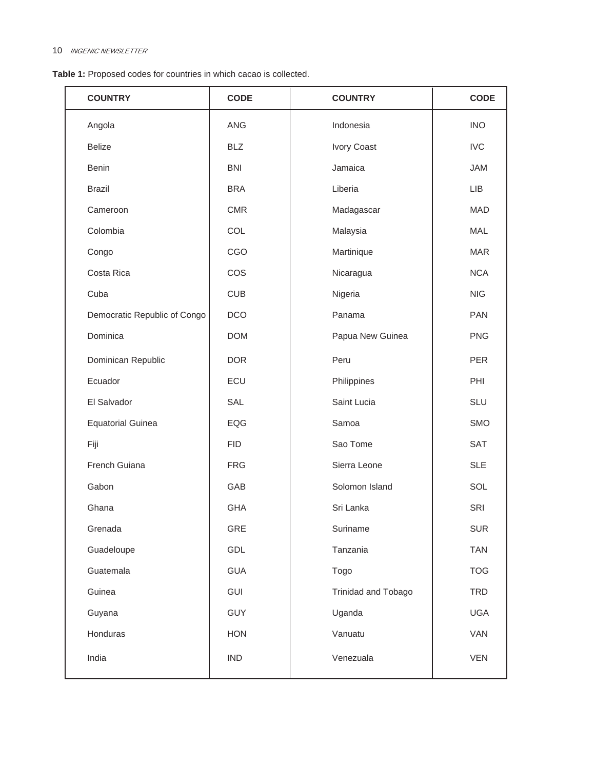| Table 1: Proposed codes for countries in which cacao is collected. |  |  |  |  |  |
|--------------------------------------------------------------------|--|--|--|--|--|
|--------------------------------------------------------------------|--|--|--|--|--|

| <b>COUNTRY</b>               | <b>CODE</b> | <b>COUNTRY</b>      | <b>CODE</b> |
|------------------------------|-------------|---------------------|-------------|
| Angola                       | <b>ANG</b>  | Indonesia           | <b>INO</b>  |
| <b>Belize</b>                | <b>BLZ</b>  | Ivory Coast         | <b>IVC</b>  |
| Benin                        | <b>BNI</b>  | Jamaica             | <b>JAM</b>  |
| <b>Brazil</b>                | <b>BRA</b>  | Liberia             | <b>LIB</b>  |
| Cameroon                     | <b>CMR</b>  | Madagascar          | <b>MAD</b>  |
| Colombia                     | COL         | Malaysia            | <b>MAL</b>  |
| Congo                        | CGO         | Martinique          | <b>MAR</b>  |
| Costa Rica                   | COS         | Nicaragua           | <b>NCA</b>  |
| Cuba                         | <b>CUB</b>  | Nigeria             | <b>NIG</b>  |
| Democratic Republic of Congo | <b>DCO</b>  | Panama              | <b>PAN</b>  |
| Dominica                     | <b>DOM</b>  | Papua New Guinea    | <b>PNG</b>  |
| Dominican Republic           | <b>DOR</b>  | Peru                | <b>PER</b>  |
| Ecuador                      | ECU         | Philippines         | PHI         |
| El Salvador                  | SAL         | Saint Lucia         | <b>SLU</b>  |
| <b>Equatorial Guinea</b>     | EQG         | Samoa               | <b>SMO</b>  |
| Fiji                         | <b>FID</b>  | Sao Tome            | <b>SAT</b>  |
| French Guiana                | <b>FRG</b>  | Sierra Leone        | <b>SLE</b>  |
| Gabon                        | GAB         | Solomon Island      | SOL         |
| Ghana                        | <b>GHA</b>  | Sri Lanka           | SRI         |
| Grenada                      | GRE         | Suriname            | <b>SUR</b>  |
| Guadeloupe                   | GDL         | Tanzania            | <b>TAN</b>  |
| Guatemala                    | <b>GUA</b>  | Togo                | <b>TOG</b>  |
| Guinea                       | GUI         | Trinidad and Tobago | <b>TRD</b>  |
| Guyana                       | <b>GUY</b>  | Uganda              | <b>UGA</b>  |
| Honduras                     | <b>HON</b>  | Vanuatu             | VAN         |
| India                        | <b>IND</b>  | Venezuala           | <b>VEN</b>  |
|                              |             |                     |             |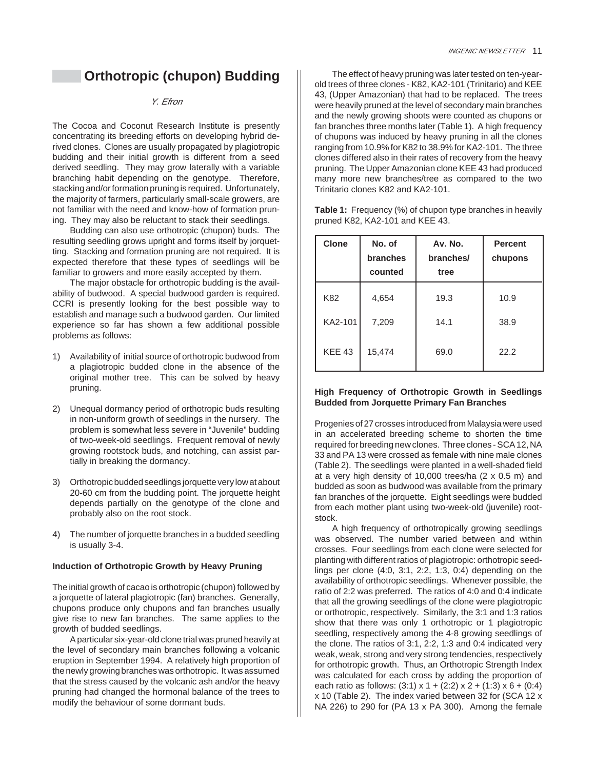## **Orthotropic (chupon) Budding**

#### Y. Efron

The Cocoa and Coconut Research Institute is presently concentrating its breeding efforts on developing hybrid derived clones. Clones are usually propagated by plagiotropic budding and their initial growth is different from a seed derived seedling. They may grow laterally with a variable branching habit depending on the genotype. Therefore, stacking and/or formation pruning is required. Unfortunately, the majority of farmers, particularly small-scale growers, are not familiar with the need and know-how of formation pruning. They may also be reluctant to stack their seedlings.

Budding can also use orthotropic (chupon) buds. The resulting seedling grows upright and forms itself by jorquetting. Stacking and formation pruning are not required. It is expected therefore that these types of seedlings will be familiar to growers and more easily accepted by them.

The major obstacle for orthotropic budding is the availability of budwood. A special budwood garden is required. CCRI is presently looking for the best possible way to establish and manage such a budwood garden. Our limited experience so far has shown a few additional possible problems as follows:

- 1) Availability of initial source of orthotropic budwood from a plagiotropic budded clone in the absence of the original mother tree. This can be solved by heavy pruning.
- 2) Unequal dormancy period of orthotropic buds resulting in non-uniform growth of seedlings in the nursery. The problem is somewhat less severe in "Juvenile" budding of two-week-old seedlings. Frequent removal of newly growing rootstock buds, and notching, can assist partially in breaking the dormancy.
- 3) Orthotropic budded seedlings jorquette very low at about 20-60 cm from the budding point. The jorquette height depends partially on the genotype of the clone and probably also on the root stock.
- 4) The number of jorquette branches in a budded seedling is usually 3-4.

#### **Induction of Orthotropic Growth by Heavy Pruning**

The initial growth of cacao is orthotropic (chupon) followed by a jorquette of lateral plagiotropic (fan) branches. Generally, chupons produce only chupons and fan branches usually give rise to new fan branches. The same applies to the growth of budded seedlings.

A particular six-year-old clone trial was pruned heavily at the level of secondary main branches following a volcanic eruption in September 1994. A relatively high proportion of the newly growing branches was orthotropic. It was assumed that the stress caused by the volcanic ash and/or the heavy pruning had changed the hormonal balance of the trees to modify the behaviour of some dormant buds.

The effect of heavy pruning was later tested on ten-yearold trees of three clones - K82, KA2-101 (Trinitario) and KEE 43, (Upper Amazonian) that had to be replaced. The trees were heavily pruned at the level of secondary main branches and the newly growing shoots were counted as chupons or fan branches three months later (Table 1). A high frequency of chupons was induced by heavy pruning in all the clones ranging from 10.9% for K82 to 38.9% for KA2-101. The three clones differed also in their rates of recovery from the heavy pruning. The Upper Amazonian clone KEE 43 had produced many more new branches/tree as compared to the two Trinitario clones K82 and KA2-101.

**Table 1:** Frequency (%) of chupon type branches in heavily pruned K82, KA2-101 and KEE 43.

| <b>Clone</b>  | No. of<br>branches<br>counted | Av. No.<br>branches/<br>tree | <b>Percent</b><br>chupons |
|---------------|-------------------------------|------------------------------|---------------------------|
| K82           | 4,654                         | 19.3                         | 10.9                      |
| KA2-101       | 7,209                         | 14.1                         | 38.9                      |
| <b>KEE 43</b> | 15,474                        | 69.0                         | 22.2                      |

#### **High Frequency of Orthotropic Growth in Seedlings Budded from Jorquette Primary Fan Branches**

Progenies of 27 crosses introduced from Malaysia were used in an accelerated breeding scheme to shorten the time required for breeding new clones. Three clones - SCA 12, NA 33 and PA 13 were crossed as female with nine male clones (Table 2). The seedlings were planted in a well-shaded field at a very high density of 10,000 trees/ha (2 x 0.5 m) and budded as soon as budwood was available from the primary fan branches of the jorquette. Eight seedlings were budded from each mother plant using two-week-old (juvenile) rootstock.

A high frequency of orthotropically growing seedlings was observed. The number varied between and within crosses. Four seedlings from each clone were selected for planting with different ratios of plagiotropic: orthotropic seedlings per clone (4:0, 3:1, 2:2, 1:3, 0:4) depending on the availability of orthotropic seedlings. Whenever possible, the ratio of 2:2 was preferred. The ratios of 4:0 and 0:4 indicate that all the growing seedlings of the clone were plagiotropic or orthotropic, respectively. Similarly, the 3:1 and 1:3 ratios show that there was only 1 orthotropic or 1 plagiotropic seedling, respectively among the 4-8 growing seedlings of the clone. The ratios of 3:1, 2:2, 1:3 and 0:4 indicated very weak, weak, strong and very strong tendencies, respectively for orthotropic growth. Thus, an Orthotropic Strength Index was calculated for each cross by adding the proportion of each ratio as follows:  $(3:1) \times 1 + (2:2) \times 2 + (1:3) \times 6 + (0:4)$ x 10 (Table 2). The index varied between 32 for (SCA 12 x NA 226) to 290 for (PA 13 x PA 300). Among the female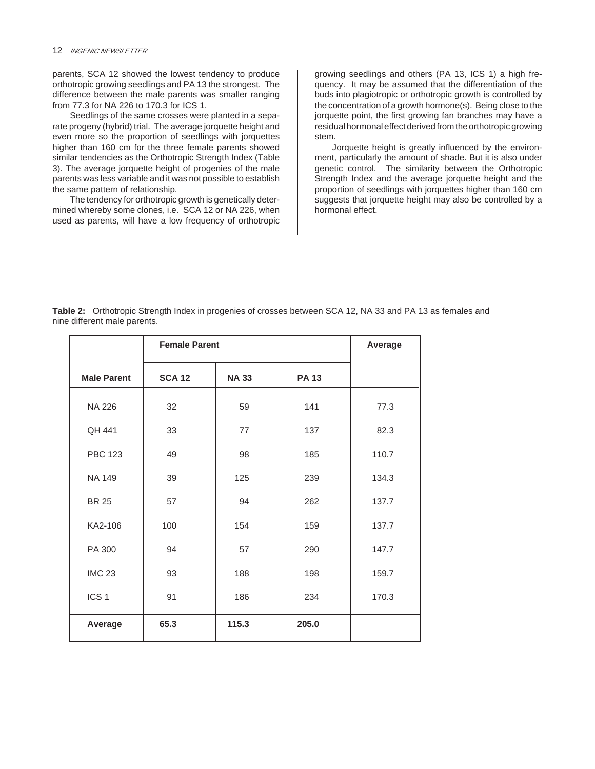parents, SCA 12 showed the lowest tendency to produce orthotropic growing seedlings and PA 13 the strongest. The difference between the male parents was smaller ranging from 77.3 for NA 226 to 170.3 for ICS 1.

Seedlings of the same crosses were planted in a separate progeny (hybrid) trial. The average jorquette height and even more so the proportion of seedlings with jorquettes higher than 160 cm for the three female parents showed similar tendencies as the Orthotropic Strength Index (Table 3). The average jorquette height of progenies of the male parents was less variable and it was not possible to establish the same pattern of relationship.

The tendency for orthotropic growth is genetically determined whereby some clones, i.e. SCA 12 or NA 226, when used as parents, will have a low frequency of orthotropic growing seedlings and others (PA 13, ICS 1) a high frequency. It may be assumed that the differentiation of the buds into plagiotropic or orthotropic growth is controlled by the concentration of a growth hormone(s). Being close to the jorquette point, the first growing fan branches may have a residual hormonal effect derived from the orthotropic growing stem.

Jorquette height is greatly influenced by the environment, particularly the amount of shade. But it is also under genetic control. The similarity between the Orthotropic Strength Index and the average jorquette height and the proportion of seedlings with jorquettes higher than 160 cm suggests that jorquette height may also be controlled by a hormonal effect.

**Table 2:** Orthotropic Strength Index in progenies of crosses between SCA 12, NA 33 and PA 13 as females and nine different male parents.

|                    | <b>Female Parent</b> |              | Average      |       |
|--------------------|----------------------|--------------|--------------|-------|
| <b>Male Parent</b> | <b>SCA 12</b>        | <b>NA 33</b> | <b>PA 13</b> |       |
| <b>NA 226</b>      | 32                   | 59           | 141          | 77.3  |
| QH 441             | 33                   | 77           | 137          | 82.3  |
| <b>PBC 123</b>     | 49                   | 98           | 185          | 110.7 |
| NA 149             | 39                   | 125          | 239          | 134.3 |
| <b>BR 25</b>       | 57                   | 94           | 262          | 137.7 |
| KA2-106            | 100                  | 154          | 159          | 137.7 |
| PA 300             | 94                   | 57           | 290          | 147.7 |
| <b>IMC 23</b>      | 93                   | 188          | 198          | 159.7 |
| ICS <sub>1</sub>   | 91                   | 186          | 234          | 170.3 |
| Average            | 65.3                 | 115.3        | 205.0        |       |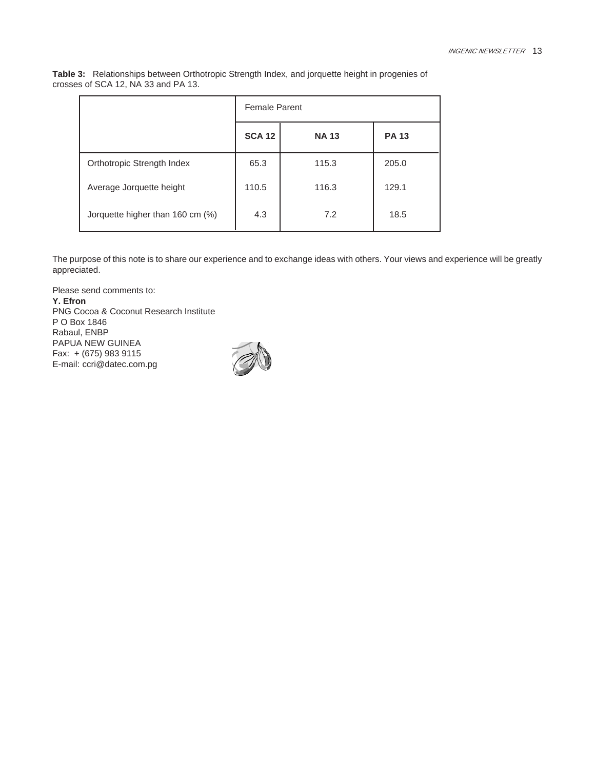| Table 3: Relationships between Orthotropic Strength Index, and jorquette height in progenies of |
|-------------------------------------------------------------------------------------------------|
| crosses of SCA 12, NA 33 and PA 13.                                                             |

|                                  | <b>Female Parent</b> |             |              |
|----------------------------------|----------------------|-------------|--------------|
|                                  | <b>SCA 12</b>        | <b>NA13</b> | <b>PA 13</b> |
| Orthotropic Strength Index       | 65.3                 | 115.3       | 205.0        |
| Average Jorquette height         | 110.5                | 116.3       | 129.1        |
| Jorquette higher than 160 cm (%) | 4.3                  | 7.2         | 18.5         |

The purpose of this note is to share our experience and to exchange ideas with others. Your views and experience will be greatly appreciated.

Please send comments to: **Y. Efron** PNG Cocoa & Coconut Research Institute P O Box 1846 Rabaul, ENBP PAPUA NEW GUINEA Fax: + (675) 983 9115 E-mail: ccri@datec.com.pg

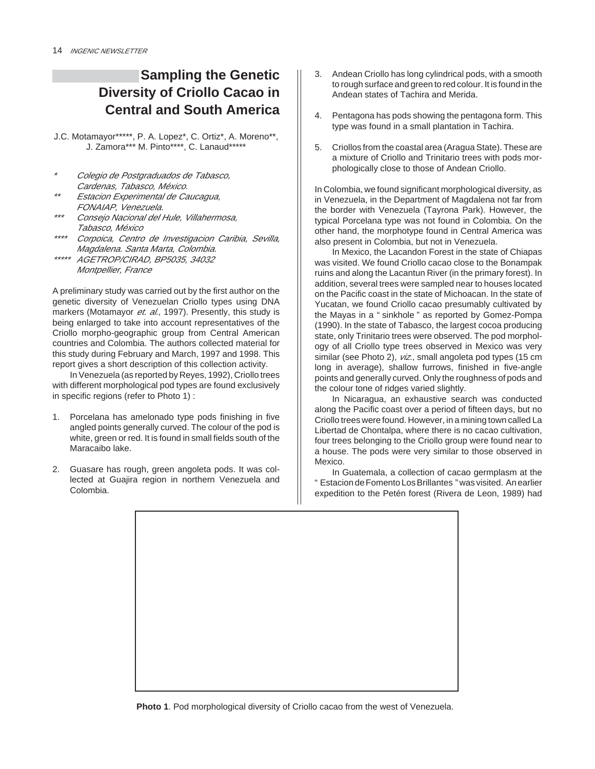## **Sampling the Genetic Diversity of Criollo Cacao in Central and South America**

J.C. Motamayor\*\*\*\*\*, P. A. Lopez\*, C. Ortiz\*, A. Moreno\*\*, J. Zamora\*\*\* M. Pinto\*\*\*\*, C. Lanaud\*\*\*\*\*

- \* Colegio de Postgraduados de Tabasco, Cardenas, Tabasco, México.
- \*\* Estacion Experimental de Caucagua, FONAIAP, Venezuela.
- \*\*\* Consejo Nacional del Hule, Villahermosa, Tabasco, México
- \*\*\*\* Corpoica, Centro de Investigacion Caribia, Sevilla, Magdalena. Santa Marta, Colombia.
- \*\*\*\*\* AGETROP/CIRAD, BP5035, 34032 Montpellier, France

A preliminary study was carried out by the first author on the genetic diversity of Venezuelan Criollo types using DNA markers (Motamayor et. al., 1997). Presently, this study is being enlarged to take into account representatives of the Criollo morpho-geographic group from Central American countries and Colombia. The authors collected material for this study during February and March, 1997 and 1998. This report gives a short description of this collection activity.

In Venezuela (as reported by Reyes, 1992), Criollo trees with different morphological pod types are found exclusively in specific regions (refer to Photo 1) :

- 1. Porcelana has amelonado type pods finishing in five angled points generally curved. The colour of the pod is white, green or red. It is found in small fields south of the Maracaibo lake.
- 2. Guasare has rough, green angoleta pods. It was collected at Guajira region in northern Venezuela and Colombia.
- 3. Andean Criollo has long cylindrical pods, with a smooth to rough surface and green to red colour. It is found in the Andean states of Tachira and Merida.
- 4. Pentagona has pods showing the pentagona form. This type was found in a small plantation in Tachira.
- 5. Criollos from the coastal area (Aragua State). These are a mixture of Criollo and Trinitario trees with pods morphologically close to those of Andean Criollo.

In Colombia, we found significant morphological diversity, as in Venezuela, in the Department of Magdalena not far from the border with Venezuela (Tayrona Park). However, the typical Porcelana type was not found in Colombia. On the other hand, the morphotype found in Central America was also present in Colombia, but not in Venezuela.

In Mexico, the Lacandon Forest in the state of Chiapas was visited. We found Criollo cacao close to the Bonampak ruins and along the Lacantun River (in the primary forest). In addition, several trees were sampled near to houses located on the Pacific coast in the state of Michoacan. In the state of Yucatan, we found Criollo cacao presumably cultivated by the Mayas in a " sinkhole " as reported by Gomez-Pompa (1990). In the state of Tabasco, the largest cocoa producing state, only Trinitario trees were observed. The pod morphology of all Criollo type trees observed in Mexico was very similar (see Photo 2), viz., small angoleta pod types (15 cm long in average), shallow furrows, finished in five-angle points and generally curved. Only the roughness of pods and the colour tone of ridges varied slightly.

In Nicaragua, an exhaustive search was conducted along the Pacific coast over a period of fifteen days, but no Criollo trees were found. However, in a mining town called La Libertad de Chontalpa, where there is no cacao cultivation, four trees belonging to the Criollo group were found near to a house. The pods were very similar to those observed in Mexico.

In Guatemala, a collection of cacao germplasm at the " Estacion de Fomento Los Brillantes " was visited. An earlier expedition to the Petén forest (Rivera de Leon, 1989) had



**Photo 1**. Pod morphological diversity of Criollo cacao from the west of Venezuela.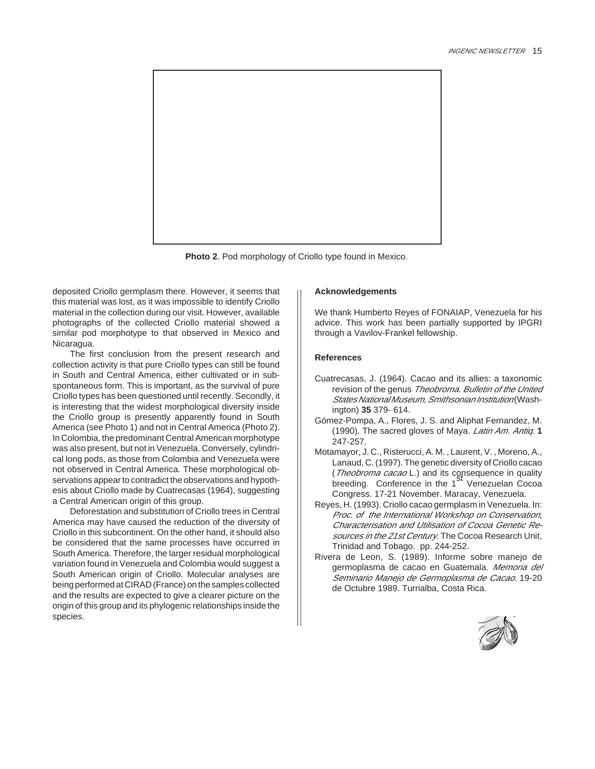

**Photo 2**. Pod morphology of Criollo type found in Mexico.

deposited Criollo germplasm there. However, it seems that this material was lost, as it was impossible to identify Criollo material in the collection during our visit. However, available photographs of the collected Criollo material showed a similar pod morphotype to that observed in Mexico and Nicaragua.

The first conclusion from the present research and collection activity is that pure Criollo types can still be found in South and Central America, either cultivated or in subspontaneous form. This is important, as the survival of pure Criollo types has been questioned until recently. Secondly, it is interesting that the widest morphological diversity inside the Criollo group is presently apparently found in South America (see Photo 1) and not in Central America (Photo 2). In Colombia, the predominant Central American morphotype was also present, but not in Venezuela. Conversely, cylindrical long pods, as those from Colombia and Venezuela were not observed in Central America. These morphological observations appear to contradict the observations and hypothesis about Criollo made by Cuatrecasas (1964), suggesting a Central American origin of this group.

Deforestation and substitution of Criollo trees in Central America may have caused the reduction of the diversity of Criollo in this subcontinent. On the other hand, it should also be considered that the same processes have occurred in South America. Therefore, the larger residual morphological variation found in Venezuela and Colombia would suggest a South American origin of Criollo. Molecular analyses are being performed at CIRAD (France) on the samples collected and the results are expected to give a clearer picture on the origin of this group and its phylogenic relationships inside the species.

#### **Acknowledgements**

We thank Humberto Reyes of FONAIAP, Venezuela for his advice. This work has been partially supported by IPGRI through a Vavilov-Frankel fellowship.

#### **References**

- Cuatrecasas, J. (1964). Cacao and its allies: a taxonomic revision of the genus Theobroma. Bulletin of the United States National Museum, Smithsonian Institution (Washington) **35** 379- 614.
- Gómez-Pompa, A., Flores, J. S. and Aliphat Fernandez, M. (1990). The sacred gloves of Maya. Latin Am. Antiq. **1** 247-257.
- Motamayor, J. C., Risterucci, A. M. , Laurent, V. , Moreno, A., Lanaud, C. (1997). The genetic diversity of Criollo cacao (Theobroma cacao L.) and its consequence in quality breeding. Conference in the 1<sup>St</sup> Venezuelan Cocoa Congress. 17-21 November. Maracay, Venezuela.
- Reyes, H. (1993). Criollo cacao germplasm in Venezuela. In: Proc. of the International Workshop on Conservation, Characterisation and Utilisation of Cocoa Genetic Resources in the 21st Century. The Cocoa Research Unit, Trinidad and Tobago. pp. 244-252.
- Rivera de Leon, S. (1989). Informe sobre manejo de germoplasma de cacao en Guatemala. Memoria del Seminario Manejo de Germoplasma de Cacao. 19-20 de Octubre 1989. Turrialba, Costa Rica.

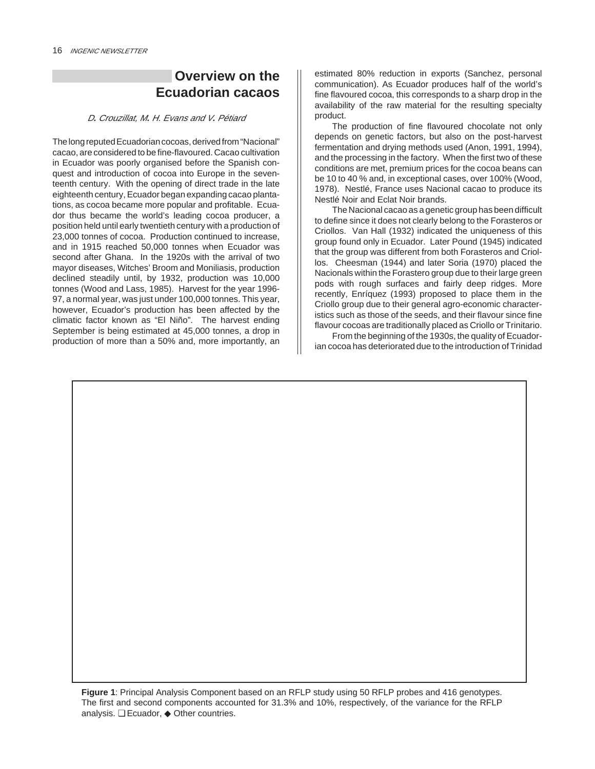## **Overview on the Ecuadorian cacaos**

#### D**.** Crouzillat, M**.** H. Evans and V**.** Pétiard

The long reputed Ecuadorian cocoas, derived from "Nacional" cacao, are considered to be fine-flavoured. Cacao cultivation in Ecuador was poorly organised before the Spanish conquest and introduction of cocoa into Europe in the seventeenth century. With the opening of direct trade in the late eighteenth century, Ecuador began expanding cacao plantations, as cocoa became more popular and profitable. Ecuador thus became the world's leading cocoa producer, a position held until early twentieth century with a production of 23,000 tonnes of cocoa. Production continued to increase, and in 1915 reached 50,000 tonnes when Ecuador was second after Ghana. In the 1920s with the arrival of two mayor diseases, Witches' Broom and Moniliasis, production declined steadily until, by 1932, production was 10,000 tonnes (Wood and Lass, 1985). Harvest for the year 1996- 97, a normal year, was just under 100,000 tonnes. This year, however, Ecuador's production has been affected by the climatic factor known as "El Niño". The harvest ending September is being estimated at 45,000 tonnes, a drop in production of more than a 50% and, more importantly, an estimated 80% reduction in exports (Sanchez, personal communication). As Ecuador produces half of the world's fine flavoured cocoa, this corresponds to a sharp drop in the availability of the raw material for the resulting specialty product.

The production of fine flavoured chocolate not only depends on genetic factors, but also on the post-harvest fermentation and drying methods used (Anon, 1991, 1994), and the processing in the factory. When the first two of these conditions are met, premium prices for the cocoa beans can be 10 to 40 % and, in exceptional cases, over 100% (Wood, 1978). Nestlé, France uses Nacional cacao to produce its Nestlé Noir and Eclat Noir brands.

The Nacional cacao as a genetic group has been difficult to define since it does not clearly belong to the Forasteros or Criollos. Van Hall (1932) indicated the uniqueness of this group found only in Ecuador. Later Pound (1945) indicated that the group was different from both Forasteros and Criollos. Cheesman (1944) and later Soria (1970) placed the Nacionals within the Forastero group due to their large green pods with rough surfaces and fairly deep ridges. More recently, Enríquez (1993) proposed to place them in the Criollo group due to their general agro-economic characteristics such as those of the seeds, and their flavour since fine flavour cocoas are traditionally placed as Criollo or Trinitario.

From the beginning of the 1930s, the quality of Ecuadorian cocoa has deteriorated due to the introduction of Trinidad

**Figure 1**: Principal Analysis Component based on an RFLP study using 50 RFLP probes and 416 genotypes. The first and second components accounted for 31.3% and 10%, respectively, of the variance for the RFLP analysis. ❏ Ecuador, ◆ Other countries.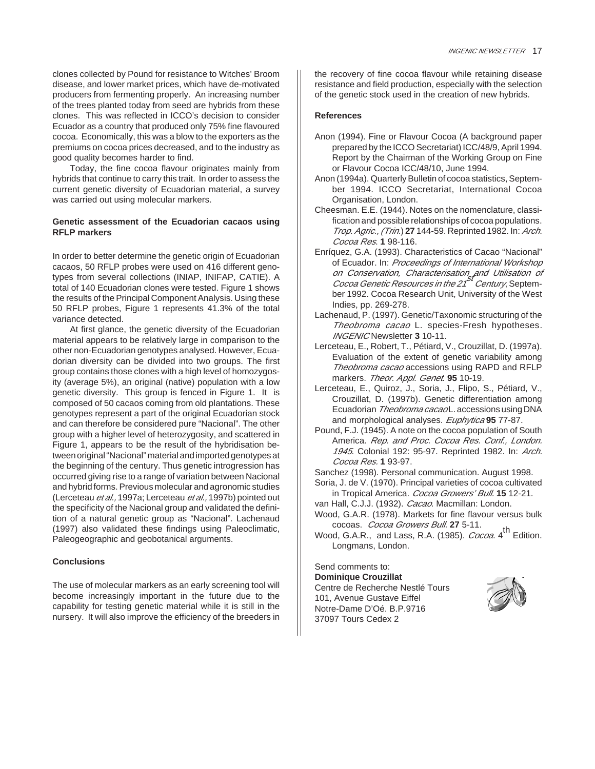clones collected by Pound for resistance to Witches' Broom disease, and lower market prices, which have de-motivated producers from fermenting properly. An increasing number of the trees planted today from seed are hybrids from these clones. This was reflected in ICCO's decision to consider Ecuador as a country that produced only 75% fine flavoured cocoa. Economically, this was a blow to the exporters as the premiums on cocoa prices decreased, and to the industry as good quality becomes harder to find.

Today, the fine cocoa flavour originates mainly from hybrids that continue to carry this trait. In order to assess the current genetic diversity of Ecuadorian material, a survey was carried out using molecular markers.

#### **Genetic assessment of the Ecuadorian cacaos using RFLP markers**

In order to better determine the genetic origin of Ecuadorian cacaos, 50 RFLP probes were used on 416 different genotypes from several collections (INIAP, INIFAP, CATIE). A total of 140 Ecuadorian clones were tested. Figure 1 shows the results of the Principal Component Analysis. Using these 50 RFLP probes, Figure 1 represents 41.3% of the total variance detected.

At first glance, the genetic diversity of the Ecuadorian material appears to be relatively large in comparison to the other non-Ecuadorian genotypes analysed. However, Ecuadorian diversity can be divided into two groups. The first group contains those clones with a high level of homozygosity (average 5%), an original (native) population with a low genetic diversity. This group is fenced in Figure 1. It is composed of 50 cacaos coming from old plantations. These genotypes represent a part of the original Ecuadorian stock and can therefore be considered pure "Nacional". The other group with a higher level of heterozygosity, and scattered in Figure 1, appears to be the result of the hybridisation between original "Nacional" material and imported genotypes at the beginning of the century. Thus genetic introgression has occurred giving rise to a range of variation between Nacional and hybrid forms. Previous molecular and agronomic studies (Lerceteau et al., 1997a; Lerceteau et al., 1997b) pointed out the specificity of the Nacional group and validated the definition of a natural genetic group as "Nacional". Lachenaud (1997) also validated these findings using Paleoclimatic, Paleogeographic and geobotanical arguments.

#### **Conclusions**

The use of molecular markers as an early screening tool will become increasingly important in the future due to the capability for testing genetic material while it is still in the nursery. It will also improve the efficiency of the breeders in the recovery of fine cocoa flavour while retaining disease resistance and field production, especially with the selection of the genetic stock used in the creation of new hybrids.

#### **References**

- Anon (1994). Fine or Flavour Cocoa (A background paper prepared by the ICCO Secretariat) ICC/48/9, April 1994. Report by the Chairman of the Working Group on Fine or Flavour Cocoa ICC/48/10, June 1994.
- Anon (1994a). Quarterly Bulletin of cocoa statistics, September 1994. ICCO Secretariat, International Cocoa Organisation, London.
- Cheesman. E.E. (1944). Notes on the nomenclature, classification and possible relationships of cocoa populations. Trop. Agric., (Trin.) **27** 144-59. Reprinted 1982. In: Arch. Cocoa Res. **1** 98-116.
- Enríquez, G.A. (1993). Characteristics of Cacao "Nacional" of Ecuador. In: Proceedings of International Workshop *on Conservation, Characterisation<sub>,</sub> and Utilisation of*<br>*Cocoa Genetic Resources in the 21<sup>St</sup> Century*, September 1992. Cocoa Research Unit, University of the West Indies, pp. 269-278.
- Lachenaud, P. (1997). Genetic/Taxonomic structuring of the Theobroma cacao L. species-Fresh hypotheses. INGENIC Newsletter **3** 10-11.
- Lerceteau, E., Robert, T., Pétiard, V., Crouzillat, D. (1997a). Evaluation of the extent of genetic variability among Theobroma cacao accessions using RAPD and RFLP markers. Theor. Appl. Genet. **95** 10-19.
- Lerceteau, E., Quiroz, J., Soria, J., Flipo, S., Pétiard, V., Crouzillat, D. (1997b). Genetic differentiation among Ecuadorian Theobroma cacaoL. accessions using DNA and morphological analyses. Euphytica **95** 77-87.
- Pound, F.J. (1945). A note on the cocoa population of South America. Rep. and Proc. Cocoa Res. Conf., London. 1945. Colonial 192: 95-97. Reprinted 1982. In: Arch. Cocoa Res. **1** 93-97.

Sanchez (1998). Personal communication. August 1998.

- Soria, J. de V. (1970). Principal varieties of cocoa cultivated in Tropical America. Cocoa Growers' Bull. **15** 12-21.
- van Hall, C.J.J. (1932). Cacao. Macmillan: London.
- Wood, G.A.R. (1978). Markets for fine flavour versus bulk cocoas. Cocoa Growers Bull. **27** 5-11.
- Wood, G.A.R., and Lass, R.A. (1985). Cocoa. 4<sup>th</sup> Edition. Longmans, London.

Send comments to:

**Dominique Crouzillat** Centre de Recherche Nestlé Tours 101, Avenue Gustave Eiffel Notre-Dame D'Oé. B.P.9716 37097 Tours Cedex 2

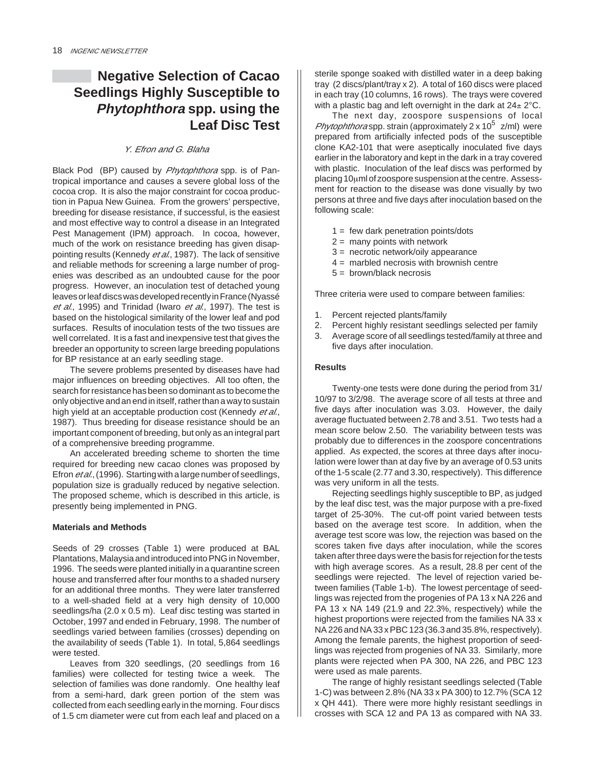## **Negative Selection of Cacao Seedlings Highly Susceptible to Phytophthora spp. using the Leaf Disc Test**

#### Y. Efron and G. Blaha

Black Pod (BP) caused by Phytophthora spp. is of Pantropical importance and causes a severe global loss of the cocoa crop. It is also the major constraint for cocoa production in Papua New Guinea. From the growers' perspective, breeding for disease resistance, if successful, is the easiest and most effective way to control a disease in an Integrated Pest Management (IPM) approach. In cocoa, however, much of the work on resistance breeding has given disappointing results (Kennedy et al., 1987). The lack of sensitive and reliable methods for screening a large number of progenies was described as an undoubted cause for the poor progress. However, an inoculation test of detached young leaves or leaf discs was developed recently in France (Nyassé et al., 1995) and Trinidad (Iwaro et al., 1997). The test is based on the histological similarity of the lower leaf and pod surfaces. Results of inoculation tests of the two tissues are well correlated. It is a fast and inexpensive test that gives the breeder an opportunity to screen large breeding populations for BP resistance at an early seedling stage.

The severe problems presented by diseases have had major influences on breeding objectives. All too often, the search for resistance has been so dominant as to become the only objective and an end in itself, rather than a way to sustain high yield at an acceptable production cost (Kennedy et al., 1987). Thus breeding for disease resistance should be an important component of breeding, but only as an integral part of a comprehensive breeding programme.

An accelerated breeding scheme to shorten the time required for breeding new cacao clones was proposed by Efron *et al.*, (1996). Starting with a large number of seedlings, population size is gradually reduced by negative selection. The proposed scheme, which is described in this article, is presently being implemented in PNG.

#### **Materials and Methods**

Seeds of 29 crosses (Table 1) were produced at BAL Plantations, Malaysia and introduced into PNG in November, 1996. The seeds were planted initially in a quarantine screen house and transferred after four months to a shaded nursery for an additional three months. They were later transferred to a well-shaded field at a very high density of 10,000 seedlings/ha (2.0 x 0.5 m). Leaf disc testing was started in October, 1997 and ended in February, 1998. The number of seedlings varied between families (crosses) depending on the availability of seeds (Table 1). In total, 5,864 seedlings were tested.

Leaves from 320 seedlings, (20 seedlings from 16 families) were collected for testing twice a week. The selection of families was done randomly. One healthy leaf from a semi-hard, dark green portion of the stem was collected from each seedling early in the morning. Four discs of 1.5 cm diameter were cut from each leaf and placed on a

sterile sponge soaked with distilled water in a deep baking tray (2 discs/plant/tray x 2). A total of 160 discs were placed in each tray (10 columns, 16 rows). The trays were covered with a plastic bag and left overnight in the dark at  $24 \pm 2^{\circ}$ C.

The next day, zoospore suspensions of local *Phytophthora* spp. strain (approximately  $2 \times 10^5$  z/ml) were prepared from artificially infected pods of the susceptible clone KA2-101 that were aseptically inoculated five days earlier in the laboratory and kept in the dark in a tray covered with plastic. Inoculation of the leaf discs was performed by placing 10µml of zoospore suspension at the centre. Assessment for reaction to the disease was done visually by two persons at three and five days after inoculation based on the following scale:

- $1 = few dark penetration points/dots$
- $2 =$  many points with network
- 3 = necrotic network/oily appearance
- $4 =$  marbled necrosis with brownish centre
- $5 =$  brown/black necrosis

Three criteria were used to compare between families:

- 1. Percent rejected plants/family
- 2. Percent highly resistant seedlings selected per family
- 3. Average score of all seedlings tested/family at three and five days after inoculation.

#### **Results**

Twenty-one tests were done during the period from 31/ 10/97 to 3/2/98. The average score of all tests at three and five days after inoculation was 3.03. However, the daily average fluctuated between 2.78 and 3.51. Two tests had a mean score below 2.50. The variability between tests was probably due to differences in the zoospore concentrations applied. As expected, the scores at three days after inoculation were lower than at day five by an average of 0.53 units of the 1-5 scale (2.77 and 3.30, respectively). This difference was very uniform in all the tests.

Rejecting seedlings highly susceptible to BP, as judged by the leaf disc test, was the major purpose with a pre-fixed target of 25-30%. The cut-off point varied between tests based on the average test score. In addition, when the average test score was low, the rejection was based on the scores taken five days after inoculation, while the scores taken after three days were the basis for rejection for the tests with high average scores. As a result, 28.8 per cent of the seedlings were rejected. The level of rejection varied between families (Table 1-b). The lowest percentage of seedlings was rejected from the progenies of PA 13 x NA 226 and PA 13 x NA 149 (21.9 and 22.3%, respectively) while the highest proportions were rejected from the families NA 33 x NA 226 and NA 33 x PBC 123 (36.3 and 35.8%, respectively). Among the female parents, the highest proportion of seedlings was rejected from progenies of NA 33. Similarly, more plants were rejected when PA 300, NA 226, and PBC 123 were used as male parents.

The range of highly resistant seedlings selected (Table 1-C) was between 2.8% (NA 33 x PA 300) to 12.7% (SCA 12 x QH 441). There were more highly resistant seedlings in crosses with SCA 12 and PA 13 as compared with NA 33.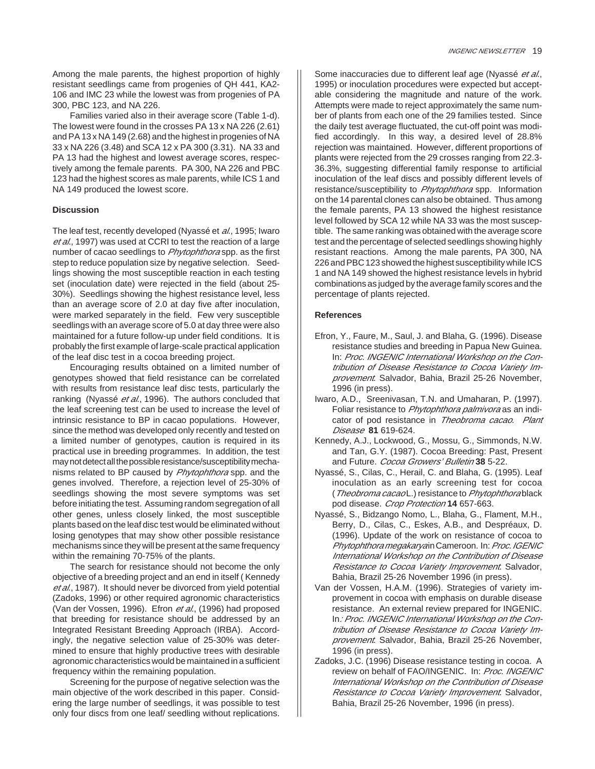Among the male parents, the highest proportion of highly resistant seedlings came from progenies of QH 441, KA2- 106 and IMC 23 while the lowest was from progenies of PA 300, PBC 123, and NA 226.

Families varied also in their average score (Table 1-d). The lowest were found in the crosses PA 13 x NA 226 (2.61) and PA 13 x NA 149 (2.68) and the highest in progenies of NA 33 x NA 226 (3.48) and SCA 12 x PA 300 (3.31). NA 33 and PA 13 had the highest and lowest average scores, respectively among the female parents. PA 300, NA 226 and PBC 123 had the highest scores as male parents, while ICS 1 and NA 149 produced the lowest score.

#### **Discussion**

The leaf test, recently developed (Nyassé et al., 1995; Iwaro et al., 1997) was used at CCRI to test the reaction of a large number of cacao seedlings to Phytophthora spp. as the first step to reduce population size by negative selection. Seedlings showing the most susceptible reaction in each testing set (inoculation date) were rejected in the field (about 25- 30%). Seedlings showing the highest resistance level, less than an average score of 2.0 at day five after inoculation, were marked separately in the field. Few very susceptible seedlings with an average score of 5.0 at day three were also maintained for a future follow-up under field conditions. It is probably the first example of large-scale practical application of the leaf disc test in a cocoa breeding project.

Encouraging results obtained on a limited number of genotypes showed that field resistance can be correlated with results from resistance leaf disc tests, particularly the ranking (Nyassé et al., 1996). The authors concluded that the leaf screening test can be used to increase the level of intrinsic resistance to BP in cacao populations. However, since the method was developed only recently and tested on a limited number of genotypes, caution is required in its practical use in breeding programmes. In addition, the test may not detect all the possible resistance/susceptibility mechanisms related to BP caused by Phytophthora spp. and the genes involved. Therefore, a rejection level of 25-30% of seedlings showing the most severe symptoms was set before initiating the test. Assuming random segregation of all other genes, unless closely linked, the most susceptible plants based on the leaf disc test would be eliminated without losing genotypes that may show other possible resistance mechanisms since they will be present at the same frequency within the remaining 70-75% of the plants.

The search for resistance should not become the only objective of a breeding project and an end in itself ( Kennedy et al., 1987). It should never be divorced from yield potential (Zadoks, 1996) or other required agronomic characteristics (Van der Vossen, 1996). Efron et al., (1996) had proposed that breeding for resistance should be addressed by an Integrated Resistant Breeding Approach (IRBA). Accordingly, the negative selection value of 25-30% was determined to ensure that highly productive trees with desirable agronomic characteristics would be maintained in a sufficient frequency within the remaining population.

Screening for the purpose of negative selection was the main objective of the work described in this paper. Considering the large number of seedlings, it was possible to test only four discs from one leaf/ seedling without replications.

Some inaccuracies due to different leaf age (Nyassé et al., 1995) or inoculation procedures were expected but acceptable considering the magnitude and nature of the work. Attempts were made to reject approximately the same number of plants from each one of the 29 families tested. Since the daily test average fluctuated, the cut-off point was modified accordingly. In this way, a desired level of 28.8% rejection was maintained. However, different proportions of plants were rejected from the 29 crosses ranging from 22.3- 36.3%, suggesting differential family response to artificial inoculation of the leaf discs and possibly different levels of resistance/susceptibility to *Phytophthora* spp. Information on the 14 parental clones can also be obtained. Thus among the female parents, PA 13 showed the highest resistance level followed by SCA 12 while NA 33 was the most susceptible. The same ranking was obtained with the average score test and the percentage of selected seedlings showing highly resistant reactions. Among the male parents, PA 300, NA 226 and PBC 123 showed the highest susceptibility while ICS 1 and NA 149 showed the highest resistance levels in hybrid combinations as judged by the average family scores and the percentage of plants rejected.

#### **References**

- Efron, Y., Faure, M., Saul, J. and Blaha, G. (1996). Disease resistance studies and breeding in Papua New Guinea. In: Proc. INGENIC International Workshop on the Contribution of Disease Resistance to Cocoa Variety Improvement. Salvador, Bahia, Brazil 25-26 November, 1996 (in press).
- Iwaro, A.D., Sreenivasan, T.N. and Umaharan, P. (1997). Foliar resistance to Phytophthora palmivora as an indicator of pod resistance in Theobroma cacao. Plant Disease **81** 619-624.
- Kennedy, A.J., Lockwood, G., Mossu, G., Simmonds, N.W. and Tan, G.Y. (1987). Cocoa Breeding: Past, Present and Future. Cocoa Growers' Bulletin **38** 5-22.
- Nyassé, S., Cilas, C., Herail, C. and Blaha, G. (1995). Leaf inoculation as an early screening test for cocoa (Theobroma cacao L.) resistance to Phytophthorablack pod disease. Crop Protection **14** 657-663.
- Nyassé, S., Bidzango Nomo, L., Blaha, G., Flament, M.H., Berry, D., Cilas, C., Eskes, A.B., and Despréaux, D. (1996). Update of the work on resistance of cocoa to Phytophthora megakaryain Cameroon. In: Proc. IGENIC International Workshop on the Contribution of Disease Resistance to Cocoa Variety Improvement. Salvador, Bahia, Brazil 25-26 November 1996 (in press).
- Van der Vossen, H.A.M. (1996). Strategies of variety improvement in cocoa with emphasis on durable disease resistance. An external review prepared for INGENIC. In: Proc. INGENIC International Workshop on the Contribution of Disease Resistance to Cocoa Variety Improvement. Salvador, Bahia, Brazil 25-26 November, 1996 (in press).
- Zadoks, J.C. (1996) Disease resistance testing in cocoa. A review on behalf of FAO/INGENIC. In: Proc. INGENIC International Workshop on the Contribution of Disease Resistance to Cocoa Variety Improvement. Salvador, Bahia, Brazil 25-26 November, 1996 (in press).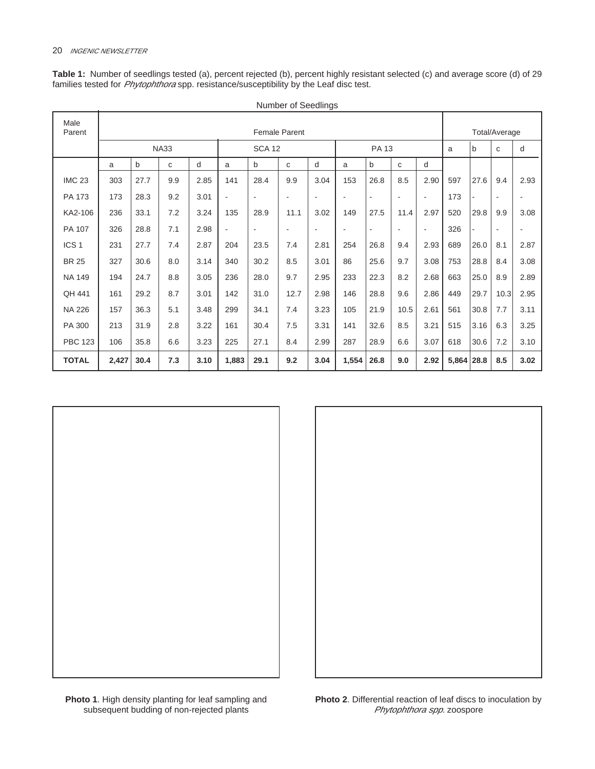|                  |       |      |             |      |       |                          | Number of Seedlings  |      |       |                |                          |                          |              |      |                          |      |
|------------------|-------|------|-------------|------|-------|--------------------------|----------------------|------|-------|----------------|--------------------------|--------------------------|--------------|------|--------------------------|------|
| Male<br>Parent   |       |      |             |      |       |                          | <b>Female Parent</b> |      |       |                |                          |                          |              |      | Total/Average            |      |
|                  |       |      | <b>NA33</b> |      |       | <b>SCA 12</b>            |                      |      |       | PA 13          |                          |                          | a            | b    | С                        | d    |
|                  | a     | b    | C           | d    | a     | b                        | C                    | d    | a     | b              | C                        | d                        |              |      |                          |      |
| <b>IMC 23</b>    | 303   | 27.7 | 9.9         | 2.85 | 141   | 28.4                     | 9.9                  | 3.04 | 153   | 26.8           | 8.5                      | 2.90                     | 597          | 27.6 | 9.4                      | 2.93 |
| PA 173           | 173   | 28.3 | 9.2         | 3.01 |       | $\overline{\phantom{a}}$ | $\blacksquare$       |      |       | $\blacksquare$ | $\blacksquare$           | $\overline{\phantom{a}}$ | 173          |      | $\overline{\phantom{a}}$ |      |
| KA2-106          | 236   | 33.1 | 7.2         | 3.24 | 135   | 28.9                     | 11.1                 | 3.02 | 149   | 27.5           | 11.4                     | 2.97                     | 520          | 29.8 | 9.9                      | 3.08 |
| PA 107           | 326   | 28.8 | 7.1         | 2.98 |       | $\overline{\phantom{a}}$ | $\blacksquare$       |      |       | $\blacksquare$ | $\overline{\phantom{a}}$ | $\overline{\phantom{a}}$ | 326          |      | $\overline{\phantom{a}}$ |      |
| ICS <sub>1</sub> | 231   | 27.7 | 7.4         | 2.87 | 204   | 23.5                     | 7.4                  | 2.81 | 254   | 26.8           | 9.4                      | 2.93                     | 689          | 26.0 | 8.1                      | 2.87 |
| <b>BR 25</b>     | 327   | 30.6 | 8.0         | 3.14 | 340   | 30.2                     | 8.5                  | 3.01 | 86    | 25.6           | 9.7                      | 3.08                     | 753          | 28.8 | 8.4                      | 3.08 |
| <b>NA 149</b>    | 194   | 24.7 | 8.8         | 3.05 | 236   | 28.0                     | 9.7                  | 2.95 | 233   | 22.3           | 8.2                      | 2.68                     | 663          | 25.0 | 8.9                      | 2.89 |
| QH 441           | 161   | 29.2 | 8.7         | 3.01 | 142   | 31.0                     | 12.7                 | 2.98 | 146   | 28.8           | 9.6                      | 2.86                     | 449          | 29.7 | 10.3                     | 2.95 |
| <b>NA 226</b>    | 157   | 36.3 | 5.1         | 3.48 | 299   | 34.1                     | 7.4                  | 3.23 | 105   | 21.9           | 10.5                     | 2.61                     | 561          | 30.8 | 7.7                      | 3.11 |
| PA 300           | 213   | 31.9 | 2.8         | 3.22 | 161   | 30.4                     | 7.5                  | 3.31 | 141   | 32.6           | 8.5                      | 3.21                     | 515          | 3.16 | 6.3                      | 3.25 |
| <b>PBC 123</b>   | 106   | 35.8 | 6.6         | 3.23 | 225   | 27.1                     | 8.4                  | 2.99 | 287   | 28.9           | 6.6                      | 3.07                     | 618          | 30.6 | 7.2                      | 3.10 |
| <b>TOTAL</b>     | 2,427 | 30.4 | 7.3         | 3.10 | 1,883 | 29.1                     | 9.2                  | 3.04 | 1,554 | 26.8           | 9.0                      | 2.92                     | $5,864$ 28.8 |      | 8.5                      | 3.02 |

**Table 1:** Number of seedlings tested (a), percent rejected (b), percent highly resistant selected (c) and average score (d) of 29 families tested for *Phytophthora* spp. resistance/susceptibility by the Leaf disc test.



**Photo 1**. High density planting for leaf sampling and subsequent budding of non-rejected plants

**Photo 2**. Differential reaction of leaf discs to inoculation by Phytophthora spp. zoospore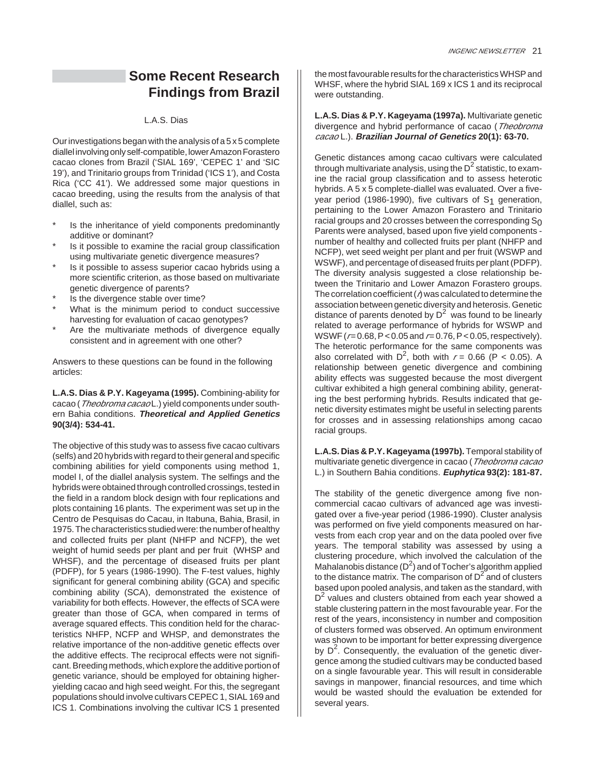## **Some Recent Research Findings from Brazil**

#### L.A.S. Dias

Our investigations began with the analysis of a 5 x 5 complete diallel involving only self-compatible, lower Amazon Forastero cacao clones from Brazil ('SIAL 169', 'CEPEC 1' and 'SIC 19'), and Trinitario groups from Trinidad ('ICS 1'), and Costa Rica ('CC 41'). We addressed some major questions in cacao breeding, using the results from the analysis of that diallel, such as:

- Is the inheritance of yield components predominantly additive or dominant?
- Is it possible to examine the racial group classification using multivariate genetic divergence measures?
- Is it possible to assess superior cacao hybrids using a more scientific criterion, as those based on multivariate genetic divergence of parents?
- Is the divergence stable over time?
- What is the minimum period to conduct successive harvesting for evaluation of cacao genotypes?
- Are the multivariate methods of divergence equally consistent and in agreement with one other?

Answers to these questions can be found in the following articles:

#### **L.A.S. Dias & P.Y. Kageyama (1995).** Combining-ability for cacao (Theobroma cacao L.) yield components under southern Bahia conditions. **Theoretical and Applied Genetics 90(3/4): 534-41.**

The objective of this study was to assess five cacao cultivars (selfs) and 20 hybrids with regard to their general and specific combining abilities for yield components using method 1, model I, of the diallel analysis system. The selfings and the hybrids were obtained through controlled crossings, tested in the field in a random block design with four replications and plots containing 16 plants. The experiment was set up in the Centro de Pesquisas do Cacau, in Itabuna, Bahia, Brasil, in 1975. The characteristics studied were: the number of healthy and collected fruits per plant (NHFP and NCFP), the wet weight of humid seeds per plant and per fruit (WHSP and WHSF), and the percentage of diseased fruits per plant (PDFP), for 5 years (1986-1990). The F-test values, highly significant for general combining ability (GCA) and specific combining ability (SCA), demonstrated the existence of variability for both effects. However, the effects of SCA were greater than those of GCA, when compared in terms of average squared effects. This condition held for the characteristics NHFP, NCFP and WHSP, and demonstrates the relative importance of the non-additive genetic effects over the additive effects. The reciprocal effects were not significant. Breeding methods, which explore the additive portion of genetic variance, should be employed for obtaining higheryielding cacao and high seed weight. For this, the segregant populations should involve cultivars CEPEC 1, SIAL 169 and ICS 1. Combinations involving the cultivar ICS 1 presented

the most favourable results for the characteristics WHSP and WHSF, where the hybrid SIAL 169 x ICS 1 and its reciprocal were outstanding.

**L.A.S. Dias & P.Y. Kageyama (1997a).** Multivariate genetic divergence and hybrid performance of cacao (Theobroma cacao L.). **Brazilian Journal of Genetics 20(1): 63-70.**

Genetic distances among cacao cultivars were calculated through multivariate analysis, using the  $D<sup>2</sup>$  statistic, to examine the racial group classification and to assess heterotic hybrids. A 5 x 5 complete-diallel was evaluated. Over a fiveyear period (1986-1990), five cultivars of S<sub>1</sub> generation, pertaining to the Lower Amazon Forastero and Trinitario racial groups and 20 crosses between the corresponding  $S_0$ Parents were analysed, based upon five yield components number of healthy and collected fruits per plant (NHFP and NCFP), wet seed weight per plant and per fruit (WSWP and WSWF), and percentage of diseased fruits per plant (PDFP). The diversity analysis suggested a close relationship between the Trinitario and Lower Amazon Forastero groups. The correlation coefficient ( $\eta$ ) was calculated to determine the association between genetic diversity and heterosis. Genetic distance of parents denoted by  $D^2$  was found to be linearly related to average performance of hybrids for WSWP and WSWF ( $r = 0.68$ , P < 0.05 and  $r = 0.76$ , P < 0.05, respectively). The heterotic performance for the same components was also correlated with  $D^2$ , both with  $r = 0.66$  (P < 0.05). A relationship between genetic divergence and combining ability effects was suggested because the most divergent cultivar exhibited a high general combining ability, generating the best performing hybrids. Results indicated that genetic diversity estimates might be useful in selecting parents for crosses and in assessing relationships among cacao racial groups.

**L.A.S. Dias & P.Y. Kageyama (1997b).** Temporal stability of multivariate genetic divergence in cacao (*Theobroma cacao* L.) in Southern Bahia conditions. **Euphytica 93(2): 181-87.**

The stability of the genetic divergence among five noncommercial cacao cultivars of advanced age was investigated over a five-year period (1986-1990). Cluster analysis was performed on five yield components measured on harvests from each crop year and on the data pooled over five years. The temporal stability was assessed by using a clustering procedure, which involved the calculation of the Mahalanobis distance  $(D^2)$  and of Tocher's algorithm applied to the distance matrix. The comparison of  $D^2$  and of clusters based upon pooled analysis, and taken as the standard, with  $D<sup>2</sup>$  values and clusters obtained from each year showed a stable clustering pattern in the most favourable year. For the rest of the years, inconsistency in number and composition of clusters formed was observed. An optimum environment was shown to be important for better expressing divergence by  $D^2$ . Consequently, the evaluation of the genetic divergence among the studied cultivars may be conducted based on a single favourable year. This will result in considerable savings in manpower, financial resources, and time which would be wasted should the evaluation be extended for several years.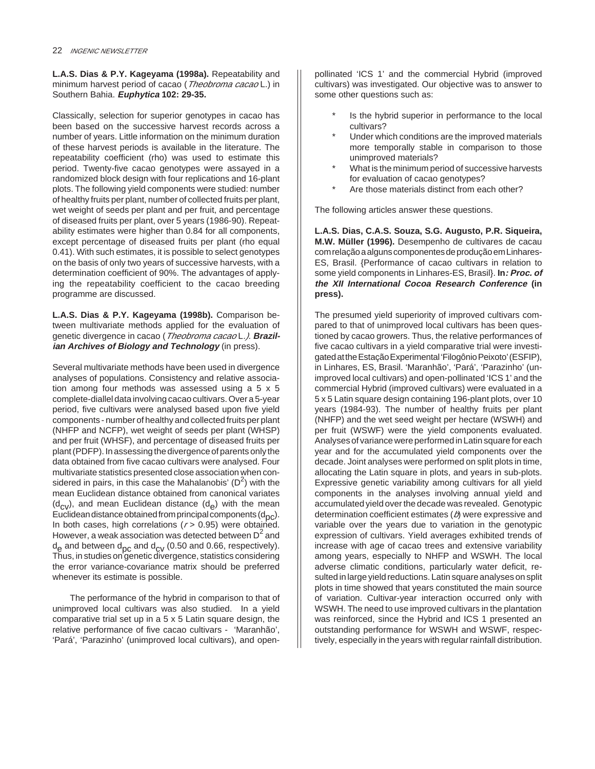**L.A.S. Dias & P.Y. Kageyama (1998a).** Repeatability and minimum harvest period of cacao (Theobroma cacao L.) in Southern Bahia. **Euphytica 102: 29-35.**

Classically, selection for superior genotypes in cacao has been based on the successive harvest records across a number of years. Little information on the minimum duration of these harvest periods is available in the literature. The repeatability coefficient (rho) was used to estimate this period. Twenty-five cacao genotypes were assayed in a randomized block design with four replications and 16-plant plots. The following yield components were studied: number of healthy fruits per plant, number of collected fruits per plant, wet weight of seeds per plant and per fruit, and percentage of diseased fruits per plant, over 5 years (1986-90). Repeatability estimates were higher than 0.84 for all components, except percentage of diseased fruits per plant (rho equal 0.41). With such estimates, it is possible to select genotypes on the basis of only two years of successive harvests, with a determination coefficient of 90%. The advantages of applying the repeatability coefficient to the cacao breeding programme are discussed.

**L.A.S. Dias & P.Y. Kageyama (1998b).** Comparison between multivariate methods applied for the evaluation of genetic divergence in cacao (Theobroma cacao L.). **Brazilian Archives of Biology and Technology** (in press).

Several multivariate methods have been used in divergence analyses of populations. Consistency and relative association among four methods was assessed using a 5 x 5 complete-diallel data involving cacao cultivars. Over a 5-year period, five cultivars were analysed based upon five yield components - number of healthy and collected fruits per plant (NHFP and NCFP), wet weight of seeds per plant (WHSP) and per fruit (WHSF), and percentage of diseased fruits per plant (PDFP). In assessing the divergence of parents only the data obtained from five cacao cultivars were analysed. Four multivariate statistics presented close association when considered in pairs, in this case the Mahalanobis' ( $D^2$ ) with the mean Euclidean distance obtained from canonical variates  $(d_{\text{cv}})$ , and mean Euclidean distance  $(d_{\text{c}})$  with the mean Euclidean distance obtained from principal components  $(d_{nc})$ . In both cases, high correlations ( $r$  > 0.95) were obtained. However, a weak association was detected between  $D<sup>2</sup>$  and  $d_e$  and between  $d_{pc}$  and  $d_{CV}$  (0.50 and 0.66, respectively). Thus, in studies on genetic divergence, statistics considering the error variance-covariance matrix should be preferred whenever its estimate is possible.

The performance of the hybrid in comparison to that of unimproved local cultivars was also studied. In a yield comparative trial set up in a 5 x 5 Latin square design, the relative performance of five cacao cultivars - 'Maranhão', 'Pará', 'Parazinho' (unimproved local cultivars), and openpollinated 'ICS 1' and the commercial Hybrid (improved cultivars) was investigated. Our objective was to answer to some other questions such as:

- Is the hybrid superior in performance to the local cultivars?
- Under which conditions are the improved materials more temporally stable in comparison to those unimproved materials?
- What is the minimum period of successive harvests for evaluation of cacao genotypes?
- Are those materials distinct from each other?

The following articles answer these questions.

**L.A.S. Dias, C.A.S. Souza, S.G. Augusto, P.R. Siqueira, M.W. Müller (1996).** Desempenho de cultivares de cacau com relação a alguns componentes de produção em Linhares-ES, Brasil. {Performance of cacao cultivars in relation to some yield components in Linhares-ES, Brasil}. **In: Proc. of the XII International Cocoa Research Conference (in press).**

The presumed yield superiority of improved cultivars compared to that of unimproved local cultivars has been questioned by cacao growers. Thus, the relative performances of five cacao cultivars in a yield comparative trial were investigated at the Estação Experimental 'Filogônio Peixoto' (ESFIP), in Linhares, ES, Brasil. 'Maranhão', 'Pará', 'Parazinho' (unimproved local cultivars) and open-pollinated 'ICS 1' and the commercial Hybrid (improved cultivars) were evaluated in a 5 x 5 Latin square design containing 196-plant plots, over 10 years (1984-93). The number of healthy fruits per plant (NHFP) and the wet seed weight per hectare (WSWH) and per fruit (WSWF) were the yield components evaluated. Analyses of variance were performed in Latin square for each year and for the accumulated yield components over the decade. Joint analyses were performed on split plots in time, allocating the Latin square in plots, and years in sub-plots. Expressive genetic variability among cultivars for all yield components in the analyses involving annual yield and accumulated yield over the decade was revealed. Genotypic determination coefficient estimates  $(b)$  were expressive and variable over the years due to variation in the genotypic expression of cultivars. Yield averages exhibited trends of increase with age of cacao trees and extensive variability among years, especially to NHFP and WSWH. The local adverse climatic conditions, particularly water deficit, resulted in large yield reductions. Latin square analyses on split plots in time showed that years constituted the main source of variation. Cultivar-year interaction occurred only with WSWH. The need to use improved cultivars in the plantation was reinforced, since the Hybrid and ICS 1 presented an outstanding performance for WSWH and WSWF, respectively, especially in the years with regular rainfall distribution.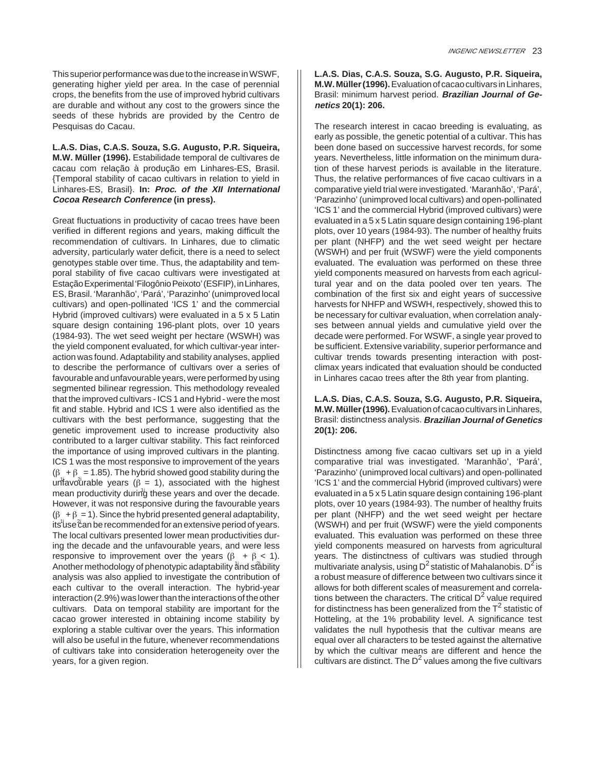This superior performance was due to the increase in WSWF, generating higher yield per area. In the case of perennial crops, the benefits from the use of improved hybrid cultivars are durable and without any cost to the growers since the seeds of these hybrids are provided by the Centro de Pesquisas do Cacau.

**L.A.S. Dias, C.A.S. Souza, S.G. Augusto, P.R. Siqueira, M.W. Müller (1996).** Estabilidade temporal de cultivares de cacau com relação à produção em Linhares-ES, Brasil. {Temporal stability of cacao cultivars in relation to yield in Linhares-ES, Brasil}. **In: Proc. of the XII International Cocoa Research Conference (in press).**

Great fluctuations in productivity of cacao trees have been verified in different regions and years, making difficult the recommendation of cultivars. In Linhares, due to climatic adversity, particularly water deficit, there is a need to select genotypes stable over time. Thus, the adaptability and temporal stability of five cacao cultivars were investigated at Estação Experimental 'Filogônio Peixoto' (ESFIP), in Linhares, ES, Brasil. 'Maranhão', 'Pará', 'Parazinho' (unimproved local cultivars) and open-pollinated 'ICS 1' and the commercial Hybrid (improved cultivars) were evaluated in a 5 x 5 Latin square design containing 196-plant plots, over 10 years (1984-93). The wet seed weight per hectare (WSWH) was the yield component evaluated, for which cultivar-year interaction was found. Adaptability and stability analyses, applied to describe the performance of cultivars over a series of favourable and unfavourable years, were performed by using segmented bilinear regression. This methodology revealed that the improved cultivars - ICS 1 and Hybrid - were the most fit and stable. Hybrid and ICS 1 were also identified as the cultivars with the best performance, suggesting that the genetic improvement used to increase productivity also contributed to a larger cultivar stability. This fact reinforced the importance of using improved cultivars in the planting. ICS 1 was the most responsive to improvement of the years  $(\beta + \beta = 1.85)$ . The hybrid showed good stability during the untavourable years ( $\beta = 1$ ), associated with the highest mean productivity during these years and over the decade. However, it was not responsive during the favourable years  $(\beta + \beta = 1)$ . Since the hybrid presented general adaptability, its luse can be recommended for an extensive period of years. The local cultivars presented lower mean productivities during the decade and the unfavourable years, and were less responsive to improvement over the years ( $\beta + \beta < 1$ ). Another methodology of phenotypic adaptability and stability analysis was also applied to investigate the contribution of each cultivar to the overall interaction. The hybrid-year interaction (2.9%) was lower than the interactions of the other cultivars. Data on temporal stability are important for the cacao grower interested in obtaining income stability by exploring a stable cultivar over the years. This information will also be useful in the future, whenever recommendations of cultivars take into consideration heterogeneity over the years, for a given region.

**L.A.S. Dias, C.A.S. Souza, S.G. Augusto, P.R. Siqueira, M.W. Müller (1996).**Evaluation of cacao cultivars in Linhares, Brasil: minimum harvest period. **Brazilian Journal of Genetics 20(1): 206.**

The research interest in cacao breeding is evaluating, as early as possible, the genetic potential of a cultivar. This has been done based on successive harvest records, for some years. Nevertheless, little information on the minimum duration of these harvest periods is available in the literature. Thus, the relative performances of five cacao cultivars in a comparative yield trial were investigated. 'Maranhão', 'Pará', 'Parazinho' (unimproved local cultivars) and open-pollinated 'ICS 1' and the commercial Hybrid (improved cultivars) were evaluated in a 5 x 5 Latin square design containing 196-plant plots, over 10 years (1984-93). The number of healthy fruits per plant (NHFP) and the wet seed weight per hectare (WSWH) and per fruit (WSWF) were the yield components evaluated. The evaluation was performed on these three yield components measured on harvests from each agricultural year and on the data pooled over ten years. The combination of the first six and eight years of successive harvests for NHFP and WSWH, respectively, showed this to be necessary for cultivar evaluation, when correlation analyses between annual yields and cumulative yield over the decade were performed. For WSWF, a single year proved to be sufficient. Extensive variability, superior performance and cultivar trends towards presenting interaction with postclimax years indicated that evaluation should be conducted in Linhares cacao trees after the 8th year from planting.

**L.A.S. Dias, C.A.S. Souza, S.G. Augusto, P.R. Siqueira, M.W. Müller (1996).**Evaluation of cacao cultivars in Linhares, Brasil: distinctness analysis. **Brazilian Journal of Genetics 20(1): 206.**

Distinctness among five cacao cultivars set up in a yield comparative trial was investigated. 'Maranhão', 'Pará', 'Parazinho' (unimproved local cultivars) and open-pollinated 'ICS 1' and the commercial Hybrid (improved cultivars) were evaluated in a 5 x 5 Latin square design containing 196-plant plots, over 10 years (1984-93). The number of healthy fruits per plant (NHFP) and the wet seed weight per hectare (WSWH) and per fruit (WSWF) were the yield components evaluated. This evaluation was performed on these three yield components measured on harvests from agricultural years. The distinctness of cultivars was studied through multivariate analysis, using  $D^2$  statistic of Mahalanobis.  $D^2$  is a robust measure of difference between two cultivars since it allows for both different scales of measurement and correlations between the characters. The critical  $D<sup>2</sup>$  value required for distinctness has been generalized from the  $T^2$  statistic of Hotteling, at the 1% probability level. A significance test validates the null hypothesis that the cultivar means are equal over all characters to be tested against the alternative by which the cultivar means are different and hence the cultivars are distinct. The  $D<sup>2</sup>$  values among the five cultivars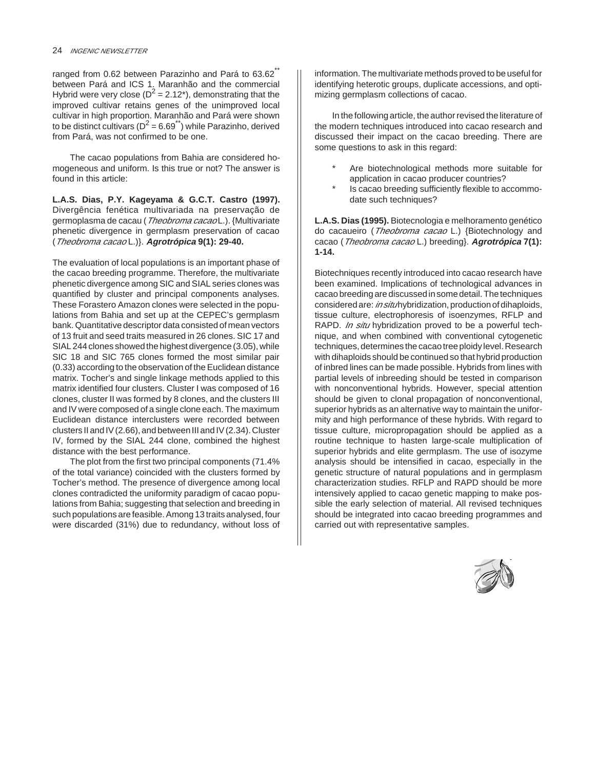ranged from 0.62 between Parazinho and Pará to 63.62<sup>\*\*</sup> between Pará and ICS 1. Maranhão and the commercial Hybrid were very close ( $D^2 = 2.12^*$ ), demonstrating that the improved cultivar retains genes of the unimproved local cultivar in high proportion. Maranhão and Pará were shown to be distinct cultivars ( $D^2 = 6.69^{(*)}$ ) while Parazinho, derived from Pará, was not confirmed to be one.

The cacao populations from Bahia are considered homogeneous and uniform. Is this true or not? The answer is found in this article:

**L.A.S. Dias, P.Y. Kageyama & G.C.T. Castro (1997).** Divergência fenética multivariada na preservação de germoplasma de cacau (*Theobroma cacao* L.). {Multivariate phenetic divergence in germplasm preservation of cacao (Theobroma cacao L.)}. **Agrotrópica 9(1): 29-40.**

The evaluation of local populations is an important phase of the cacao breeding programme. Therefore, the multivariate phenetic divergence among SIC and SIAL series clones was quantified by cluster and principal components analyses. These Forastero Amazon clones were selected in the populations from Bahia and set up at the CEPEC's germplasm bank. Quantitative descriptor data consisted of mean vectors of 13 fruit and seed traits measured in 26 clones. SIC 17 and SIAL 244 clones showed the highest divergence (3.05), while SIC 18 and SIC 765 clones formed the most similar pair (0.33) according to the observation of the Euclidean distance matrix. Tocher's and single linkage methods applied to this matrix identified four clusters. Cluster I was composed of 16 clones, cluster II was formed by 8 clones, and the clusters III and IV were composed of a single clone each. The maximum Euclidean distance interclusters were recorded between clusters II and IV (2.66), and between III and IV (2.34). Cluster IV, formed by the SIAL 244 clone, combined the highest distance with the best performance.

The plot from the first two principal components (71.4% of the total variance) coincided with the clusters formed by Tocher's method. The presence of divergence among local clones contradicted the uniformity paradigm of cacao populations from Bahia; suggesting that selection and breeding in such populations are feasible. Among 13 traits analysed, four were discarded (31%) due to redundancy, without loss of information. The multivariate methods proved to be useful for identifying heterotic groups, duplicate accessions, and optimizing germplasm collections of cacao.

In the following article, the author revised the literature of the modern techniques introduced into cacao research and discussed their impact on the cacao breeding. There are some questions to ask in this regard:

- Are biotechnological methods more suitable for application in cacao producer countries?
- Is cacao breeding sufficiently flexible to accommodate such techniques?

**L.A.S. Dias (1995).** Biotecnologia e melhoramento genético do cacaueiro (Theobroma cacao L.) {Biotechnology and cacao (Theobroma cacao L.) breeding}. **Agrotrópica 7(1): 1-14.**

Biotechniques recently introduced into cacao research have been examined. Implications of technological advances in cacao breeding are discussed in some detail. The techniques considered are: in situhybridization, production of dihaploids, tissue culture, electrophoresis of isoenzymes, RFLP and RAPD. In situ hybridization proved to be a powerful technique, and when combined with conventional cytogenetic techniques, determines the cacao tree ploidy level. Research with dihaploids should be continued so that hybrid production of inbred lines can be made possible. Hybrids from lines with partial levels of inbreeding should be tested in comparison with nonconventional hybrids. However, special attention should be given to clonal propagation of nonconventional, superior hybrids as an alternative way to maintain the uniformity and high performance of these hybrids. With regard to tissue culture, micropropagation should be applied as a routine technique to hasten large-scale multiplication of superior hybrids and elite germplasm. The use of isozyme analysis should be intensified in cacao, especially in the genetic structure of natural populations and in germplasm characterization studies. RFLP and RAPD should be more intensively applied to cacao genetic mapping to make possible the early selection of material. All revised techniques should be integrated into cacao breeding programmes and carried out with representative samples.

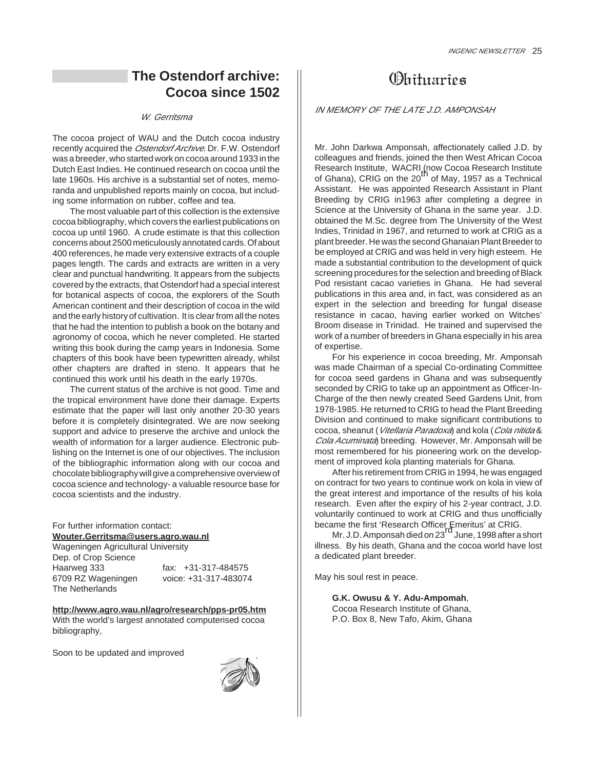## **The Ostendorf archive: Cocoa since 1502**

#### W. Gerritsma

The cocoa project of WAU and the Dutch cocoa industry recently acquired the Ostendorf Archive. Dr. F.W. Ostendorf was a breeder, who started work on cocoa around 1933 in the Dutch East Indies. He continued research on cocoa until the late 1960s. His archive is a substantial set of notes, memoranda and unpublished reports mainly on cocoa, but including some information on rubber, coffee and tea.

The most valuable part of this collection is the extensive cocoa bibliography, which covers the earliest publications on cocoa up until 1960. A crude estimate is that this collection concerns about 2500 meticulously annotated cards. Of about 400 references, he made very extensive extracts of a couple pages length. The cards and extracts are written in a very clear and punctual handwriting. It appears from the subjects covered by the extracts, that Ostendorf had a special interest for botanical aspects of cocoa, the explorers of the South American continent and their description of cocoa in the wild and the early history of cultivation. It is clear from all the notes that he had the intention to publish a book on the botany and agronomy of cocoa, which he never completed. He started writing this book during the camp years in Indonesia. Some chapters of this book have been typewritten already, whilst other chapters are drafted in steno. It appears that he continued this work until his death in the early 1970s.

The current status of the archive is not good. Time and the tropical environment have done their damage. Experts estimate that the paper will last only another 20-30 years before it is completely disintegrated. We are now seeking support and advice to preserve the archive and unlock the wealth of information for a larger audience. Electronic publishing on the Internet is one of our objectives. The inclusion of the bibliographic information along with our cocoa and chocolate bibliography will give a comprehensive overview of cocoa science and technology- a valuable resource base for cocoa scientists and the industry.

For further information contact: **Wouter.Gerritsma@users.agro.wau.nl** Wageningen Agricultural University Dep. of Crop Science Haarweg 333 fax: +31-317-484575

6709 RZ Wageningen voice: +31-317-483074

**http://www.agro.wau.nl/agro/research/pps-pr05.htm** With the world's largest annotated computerised cocoa bibliography,

Soon to be updated and improved

The Netherlands



## **Obituaries**

#### IN MEMORY OF THE LATE J.D. AMPONSAH

Mr. John Darkwa Amponsah, affectionately called J.D. by colleagues and friends, joined the then West African Cocoa Research Institute, WACRI (now Cocoa Research Institute<br>of Ghana), CRIG on the 20<sup>th</sup> of May, 1957 as a Technical Assistant. He was appointed Research Assistant in Plant Breeding by CRIG in1963 after completing a degree in Science at the University of Ghana in the same year. J.D. obtained the M.Sc. degree from The University of the West Indies, Trinidad in 1967, and returned to work at CRIG as a plant breeder. He was the second Ghanaian Plant Breeder to be employed at CRIG and was held in very high esteem. He made a substantial contribution to the development of quick screening procedures for the selection and breeding of Black Pod resistant cacao varieties in Ghana. He had several publications in this area and, in fact, was considered as an expert in the selection and breeding for fungal disease resistance in cacao, having earlier worked on Witches' Broom disease in Trinidad. He trained and supervised the work of a number of breeders in Ghana especially in his area of expertise.

For his experience in cocoa breeding, Mr. Amponsah was made Chairman of a special Co-ordinating Committee for cocoa seed gardens in Ghana and was subsequently seconded by CRIG to take up an appointment as Officer-In-Charge of the then newly created Seed Gardens Unit, from 1978-1985. He returned to CRIG to head the Plant Breeding Division and continued to make significant contributions to cocoa, sheanut (Vitellaria Paradoxa) and kola (Cola nitida & Cola Acuminata) breeding. However, Mr. Amponsah will be most remembered for his pioneering work on the development of improved kola planting materials for Ghana.

After his retirement from CRIG in 1994, he was engaged on contract for two years to continue work on kola in view of the great interest and importance of the results of his kola research. Even after the expiry of his 2-year contract, J.D. voluntarily continued to work at CRIG and thus unofficially

became the first 'Research Officer Emeritus' at CRIG.<br>Mr. J.D. Amponsah died on 23<sup>rd</sup> June, 1998 after a short illness. By his death, Ghana and the cocoa world have lost a dedicated plant breeder.

May his soul rest in peace.

**G.K. Owusu & Y. Adu-Ampomah**, Cocoa Research Institute of Ghana, P.O. Box 8, New Tafo, Akim, Ghana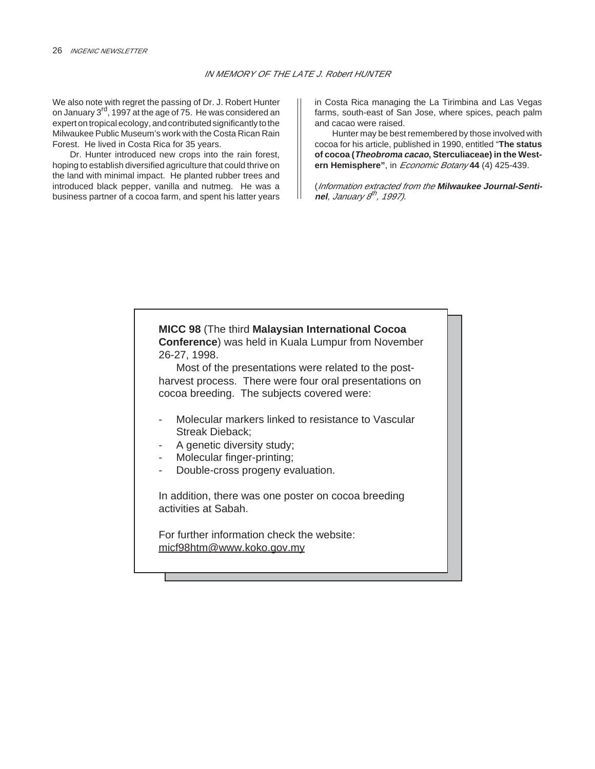We also note with regret the passing of Dr. J. Robert Hunter on January 3rd, 1997 at the age of 75. He was considered an expert on tropical ecology, and contributed significantly to the Milwaukee Public Museum's work with the Costa Rican Rain Forest. He lived in Costa Rica for 35 years.

Dr. Hunter introduced new crops into the rain forest, hoping to establish diversified agriculture that could thrive on the land with minimal impact. He planted rubber trees and introduced black pepper, vanilla and nutmeg. He was a business partner of a cocoa farm, and spent his latter years in Costa Rica managing the La Tirimbina and Las Vegas farms, south-east of San Jose, where spices, peach palm and cacao were raised.

Hunter may be best remembered by those involved with cocoa for his article, published in 1990, entitled "**The status of cocoa (Theobroma cacao, Sterculiaceae) in the Western Hemisphere"**, in Economic Botany **44** (4) 425-439.

(Information extracted from the **Milwaukee Journal-Sentinel**, January 8<sup>th</sup>, 1997).

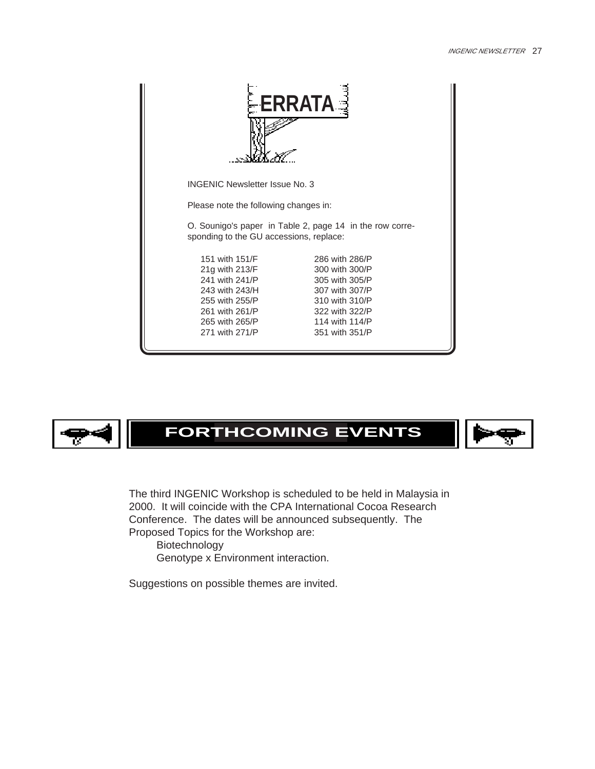| <b>ERRATA</b>                           |                                                          |  |  |  |
|-----------------------------------------|----------------------------------------------------------|--|--|--|
| <b>INGENIC Newsletter Issue No. 3</b>   |                                                          |  |  |  |
| Please note the following changes in:   |                                                          |  |  |  |
| sponding to the GU accessions, replace: | O. Sounigo's paper in Table 2, page 14 in the row corre- |  |  |  |
| 151 with 151/F                          | 286 with 286/P                                           |  |  |  |
| 21g with 213/F                          | 300 with 300/P                                           |  |  |  |
| 241 with 241/P                          | 305 with 305/P                                           |  |  |  |
| 243 with 243/H                          | 307 with 307/P                                           |  |  |  |
| 255 with 255/P                          | 310 with 310/P                                           |  |  |  |
| 261 with 261/P<br>265 with 265/P        | 322 with 322/P<br>114 with 114/P                         |  |  |  |
| 271 with 271/P                          | 351 with 351/P                                           |  |  |  |
|                                         |                                                          |  |  |  |



## **FORTHCOMING EVENTS**



The third INGENIC Workshop is scheduled to be held in Malaysia in 2000. It will coincide with the CPA International Cocoa Research Conference. The dates will be announced subsequently. The Proposed Topics for the Workshop are:

Biotechnology Genotype x Environment interaction.

Suggestions on possible themes are invited.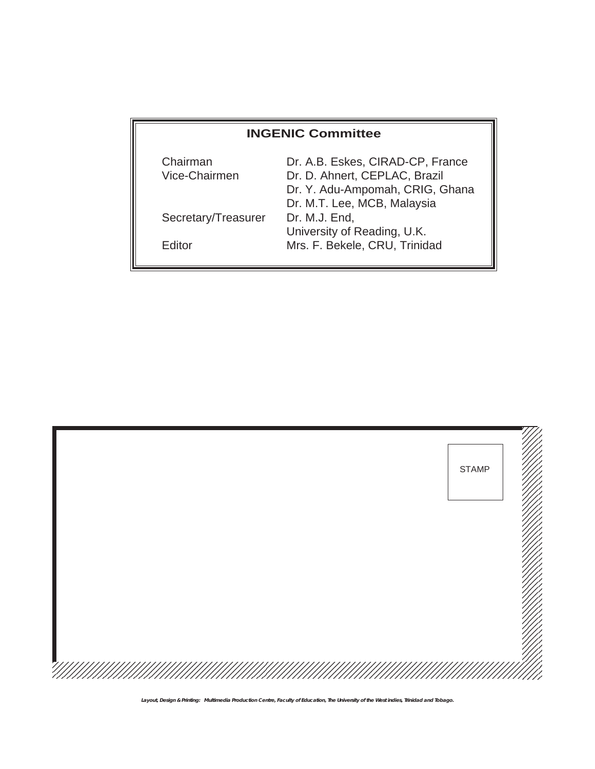## **INGENIC Committee**

| Chairman            | Dr. A.B. Eskes, CIRAD-CP, France |
|---------------------|----------------------------------|
| Vice-Chairmen       | Dr. D. Ahnert, CEPLAC, Brazil    |
|                     | Dr. Y. Adu-Ampomah, CRIG, Ghana  |
|                     | Dr. M.T. Lee, MCB, Malaysia      |
| Secretary/Treasurer | Dr. M.J. End,                    |
|                     | University of Reading, U.K.      |
| Editor              | Mrs. F. Bekele, CRU, Trinidad    |
|                     |                                  |



**Layout, Design & Printing: Multimedia Production Centre, Faculty of Education, The University of the West indies, Trinidad and Tobago.**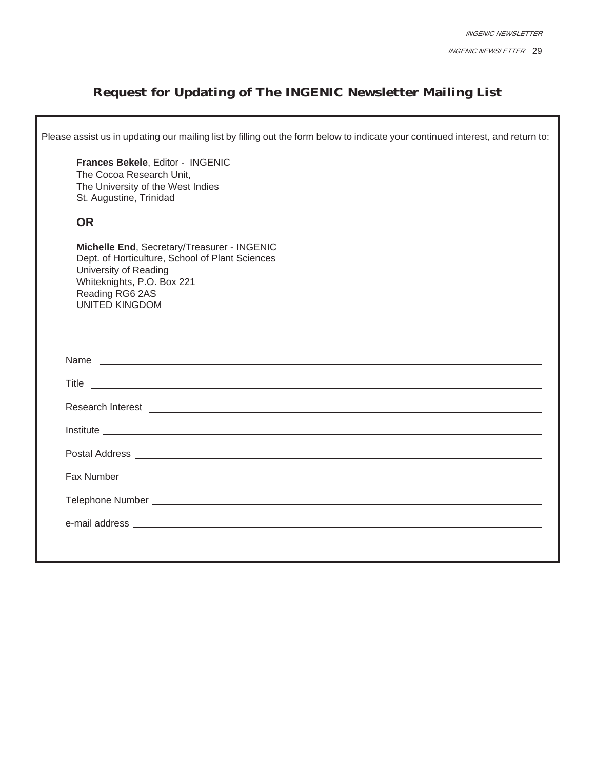## **Request for Updating of The INGENIC Newsletter Mailing List**

|                                                                   | Please assist us in updating our mailing list by filling out the form below to indicate your continued interest, and return to:                                                                                                      |
|-------------------------------------------------------------------|--------------------------------------------------------------------------------------------------------------------------------------------------------------------------------------------------------------------------------------|
| St. Augustine, Trinidad                                           | Frances Bekele, Editor - INGENIC<br>The Cocoa Research Unit,<br>The University of the West Indies                                                                                                                                    |
| <b>OR</b>                                                         |                                                                                                                                                                                                                                      |
| University of Reading<br>Reading RG6 2AS<br><b>UNITED KINGDOM</b> | Michelle End, Secretary/Treasurer - INGENIC<br>Dept. of Horticulture, School of Plant Sciences<br>Whiteknights, P.O. Box 221                                                                                                         |
|                                                                   |                                                                                                                                                                                                                                      |
|                                                                   | Name experience and a series of the series of the series of the series of the series of the series of the series of the series of the series of the series of the series of the series of the series of the series of the seri       |
|                                                                   | Title <u>and the second contract of the second contract of the second contract of the second contract of the second contract of the second contract of the second contract of the second contract of the second contract of the </u> |
|                                                                   |                                                                                                                                                                                                                                      |
|                                                                   | Institute Lawrence and Contract and Contract and Contract and Contract and Contract and Contract and Contract and                                                                                                                    |
|                                                                   |                                                                                                                                                                                                                                      |
|                                                                   |                                                                                                                                                                                                                                      |
|                                                                   |                                                                                                                                                                                                                                      |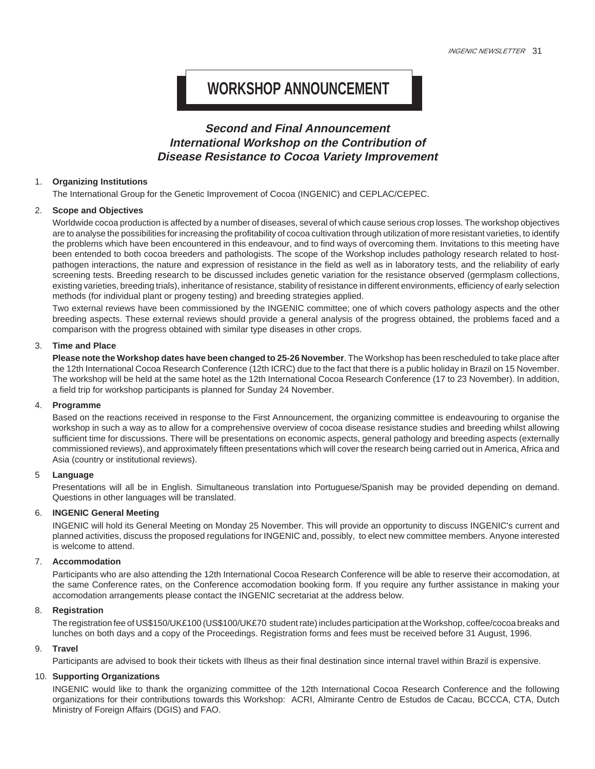## **WORKSHOP ANNOUNCEMENT**

## **Second and Final Announcement International Workshop on the Contribution of Disease Resistance to Cocoa Variety Improvement**

#### 1. **Organizing Institutions**

The International Group for the Genetic Improvement of Cocoa (INGENIC) and CEPLAC/CEPEC.

#### 2. **Scope and Objectives**

Worldwide cocoa production is affected by a number of diseases, several of which cause serious crop losses. The workshop objectives are to analyse the possibilities for increasing the profitability of cocoa cultivation through utilization of more resistant varieties, to identify the problems which have been encountered in this endeavour, and to find ways of overcoming them. Invitations to this meeting have been entended to both cocoa breeders and pathologists. The scope of the Workshop includes pathology research related to hostpathogen interactions, the nature and expression of resistance in the field as well as in laboratory tests, and the reliability of early screening tests. Breeding research to be discussed includes genetic variation for the resistance observed (germplasm collections, existing varieties, breeding trials), inheritance of resistance, stability of resistance in different environments, efficiency of early selection methods (for individual plant or progeny testing) and breeding strategies applied.

Two external reviews have been commissioned by the INGENIC committee; one of which covers pathology aspects and the other breeding aspects. These external reviews should provide a general analysis of the progress obtained, the problems faced and a comparison with the progress obtained with similar type diseases in other crops.

#### 3. **Time and Place**

**Please note the Workshop dates have been changed to 25-26 November**. The Workshop has been rescheduled to take place after the 12th International Cocoa Research Conference (12th ICRC) due to the fact that there is a public holiday in Brazil on 15 November. The workshop will be held at the same hotel as the 12th International Cocoa Research Conference (17 to 23 November). In addition, a field trip for workshop participants is planned for Sunday 24 November.

#### 4. **Programme**

Based on the reactions received in response to the First Announcement, the organizing committee is endeavouring to organise the workshop in such a way as to allow for a comprehensive overview of cocoa disease resistance studies and breeding whilst allowing sufficient time for discussions. There will be presentations on economic aspects, general pathology and breeding aspects (externally commissioned reviews), and approximately fifteen presentations which will cover the research being carried out in America, Africa and Asia (country or institutional reviews).

#### 5 **Language**

Presentations will all be in English. Simultaneous translation into Portuguese/Spanish may be provided depending on demand. Questions in other languages will be translated.

#### 6. **INGENIC General Meeting**

INGENIC will hold its General Meeting on Monday 25 November. This will provide an opportunity to discuss INGENIC's current and planned activities, discuss the proposed regulations for INGENIC and, possibly, to elect new committee members. Anyone interested is welcome to attend.

#### 7. **Accommodation**

Participants who are also attending the 12th International Cocoa Research Conference will be able to reserve their accomodation, at the same Conference rates, on the Conference accomodation booking form. If you require any further assistance in making your accomodation arrangements please contact the INGENIC secretariat at the address below.

#### 8. **Registration**

The registration fee of US\$150/UK£100 (US\$100/UK£70 student rate) includes participation at the Workshop, coffee/cocoa breaks and lunches on both days and a copy of the Proceedings. Registration forms and fees must be received before 31 August, 1996.

#### 9. **Travel**

Participants are advised to book their tickets with Ilheus as their final destination since internal travel within Brazil is expensive.

#### 10. **Supporting Organizations**

INGENIC would like to thank the organizing committee of the 12th International Cocoa Research Conference and the following organizations for their contributions towards this Workshop: ACRI, Almirante Centro de Estudos de Cacau, BCCCA, CTA, Dutch Ministry of Foreign Affairs (DGIS) and FAO.